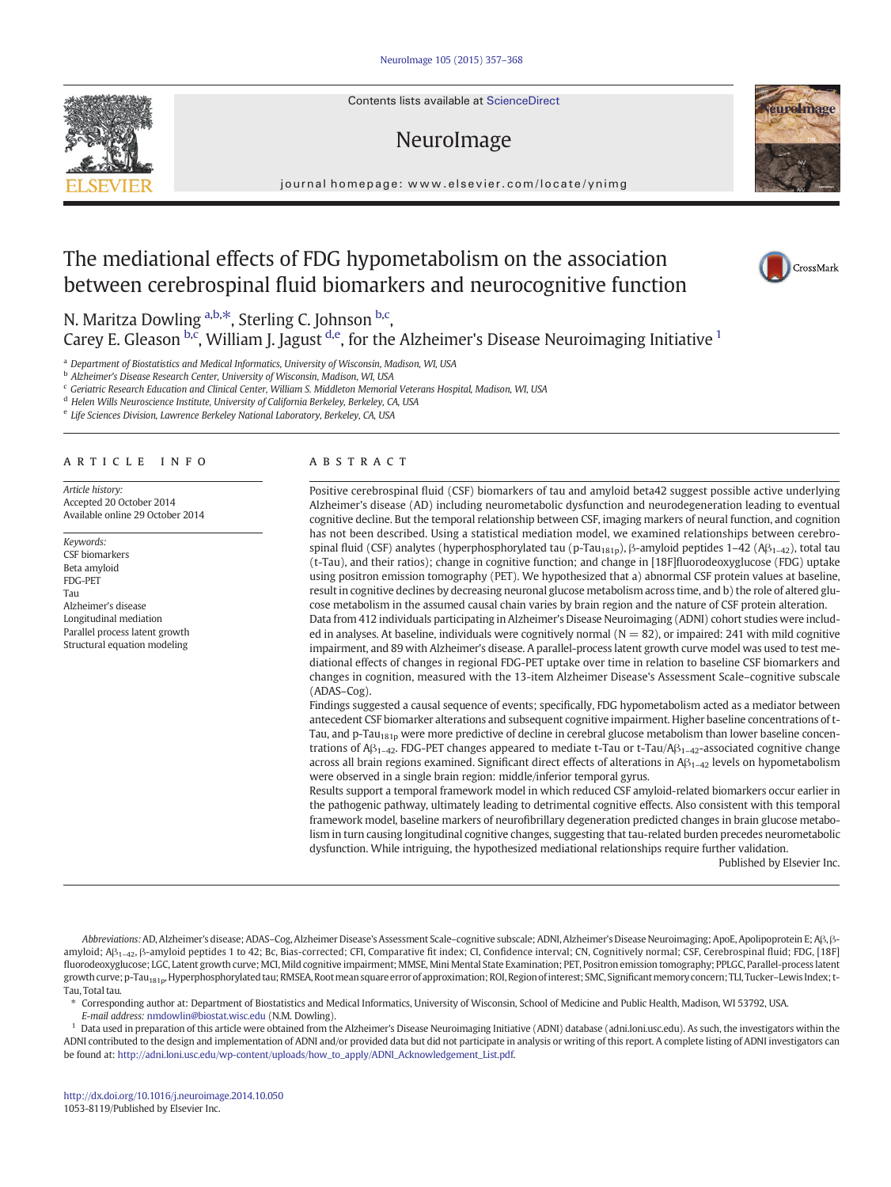Contents lists available at ScienceDirect

# NeuroImage

journal homepage:<www.elsevier.com/locate/ynimg>

# The mediational effects of FDG hypometabolism on the association between cerebrospinal fluid biomarkers and neurocognitive function

N. Maritza Dowling <sup>a,b,\*</sup>, Sterling C. Johnson <sup>b,c</sup>, Carey E. Gleason  $^{\text{b,c}}$ , William J. Jagust  $^{\text{d,e}}$ , for the Alzheimer's Disease Neuroimaging Initiative  $^1$ 

a Department of Biostatistics and Medical Informatics, University of Wisconsin, Madison, WI, USA

<sup>b</sup> Alzheimer's Disease Research Center, University of Wisconsin, Madison, WI, USA

<sup>c</sup> Geriatric Research Education and Clinical Center, William S. Middleton Memorial Veterans Hospital, Madison, WI, USA

<sup>d</sup> Helen Wills Neuroscience Institute, University of California Berkeley, Berkeley, CA, USA

<sup>e</sup> Life Sciences Division, Lawrence Berkeley National Laboratory, Berkeley, CA, USA

# article info abstract

Article history: Accepted 20 October 2014 Available online 29 October 2014

Keywords: CSF biomarkers Beta amyloid FDG-PET Tau Alzheimer's disease Longitudinal mediation Parallel process latent growth Structural equation modeling

Positive cerebrospinal fluid (CSF) biomarkers of tau and amyloid beta42 suggest possible active underlying Alzheimer's disease (AD) including neurometabolic dysfunction and neurodegeneration leading to eventual cognitive decline. But the temporal relationship between CSF, imaging markers of neural function, and cognition has not been described. Using a statistical mediation model, we examined relationships between cerebrospinal fluid (CSF) analytes (hyperphosphorylated tau (p-Tau<sub>181p</sub>), β-amyloid peptides 1–42 (Aβ<sub>1–42</sub>), total tau (t-Tau), and their ratios); change in cognitive function; and change in [18F]fluorodeoxyglucose (FDG) uptake using positron emission tomography (PET). We hypothesized that a) abnormal CSF protein values at baseline, result in cognitive declines by decreasing neuronal glucose metabolism across time, and b) the role of altered glucose metabolism in the assumed causal chain varies by brain region and the nature of CSF protein alteration. Data from 412 individuals participating in Alzheimer's Disease Neuroimaging (ADNI) cohort studies were included in analyses. At baseline, individuals were cognitively normal ( $N = 82$ ), or impaired: 241 with mild cognitive

impairment, and 89 with Alzheimer's disease. A parallel-process latent growth curve model was used to test mediational effects of changes in regional FDG-PET uptake over time in relation to baseline CSF biomarkers and changes in cognition, measured with the 13-item Alzheimer Disease's Assessment Scale–cognitive subscale (ADAS–Cog).

Findings suggested a causal sequence of events; specifically, FDG hypometabolism acted as a mediator between antecedent CSF biomarker alterations and subsequent cognitive impairment. Higher baseline concentrations of t-Tau, and p-Tau<sub>181p</sub> were more predictive of decline in cerebral glucose metabolism than lower baseline concentrations of  $\beta_{1-42}$ . FDG-PET changes appeared to mediate t-Tau or t-Tau/Aβ<sub>1-42</sub>-associated cognitive change across all brain regions examined. Significant direct effects of alterations in  $AB_{1-42}$  levels on hypometabolism were observed in a single brain region: middle/inferior temporal gyrus.

Results support a temporal framework model in which reduced CSF amyloid-related biomarkers occur earlier in the pathogenic pathway, ultimately leading to detrimental cognitive effects. Also consistent with this temporal framework model, baseline markers of neurofibrillary degeneration predicted changes in brain glucose metabolism in turn causing longitudinal cognitive changes, suggesting that tau-related burden precedes neurometabolic dysfunction. While intriguing, the hypothesized mediational relationships require further validation.

Published by Elsevier Inc.

Abbreviations:AD, Alzheimer's disease; ADAS–Cog, Alzheimer Disease's Assessment Scale–cognitive subscale; ADNI, Alzheimer's Disease Neuroimaging; ApoE, Apolipoprotein E; Aβ, βamyloid; Aβ<sub>1-42</sub>, β-amyloid peptides 1 to 42; Bc, Bias-corrected; CFI, Comparative fit index; CI, Confidence interval; CN, Cognitively normal; CSF, Cerebrospinal fluid; FDG, [18F] fluorodeoxyglucose; LGC, Latent growth curve; MCI, Mild cognitive impairment; MMSE, Mini Mental State Examination; PET, Positron emission tomography; PPLGC, Parallel-process latent growth curve; p-Tau<sub>181p</sub>, Hyperphosphorylated tau; RMSEA, Root mean square error of approximation; ROI, Region of interest; SMC, Significant memory concern; TLI, Tucker-Lewis Index; t-Tau, Total tau.

⁎ Corresponding author at: Department of Biostatistics and Medical Informatics, University of Wisconsin, School of Medicine and Public Health, Madison, WI 53792, USA.

E-mail address: [nmdowlin@biostat.wisc.edu](mailto:nmdowlin@biostat.wisc.edu) (N.M. Dowling).

Data used in preparation of this article were obtained from the Alzheimer's Disease Neuroimaging Initiative (ADNI) database (adni.loni.usc.edu). As such, the investigators within the ADNI contributed to the design and implementation of ADNI and/or provided data but did not participate in analysis or writing of this report. A complete listing of ADNI investigators can be found at: [http://adni.loni.usc.edu/wp-content/uploads/how\\_to\\_apply/ADNI\\_Acknowledgement\\_List.pdf](http://adni.loni.usc.edu/wp-content/uploads/how_to_apply/ADNI_Acknowledgement_List.pdf).





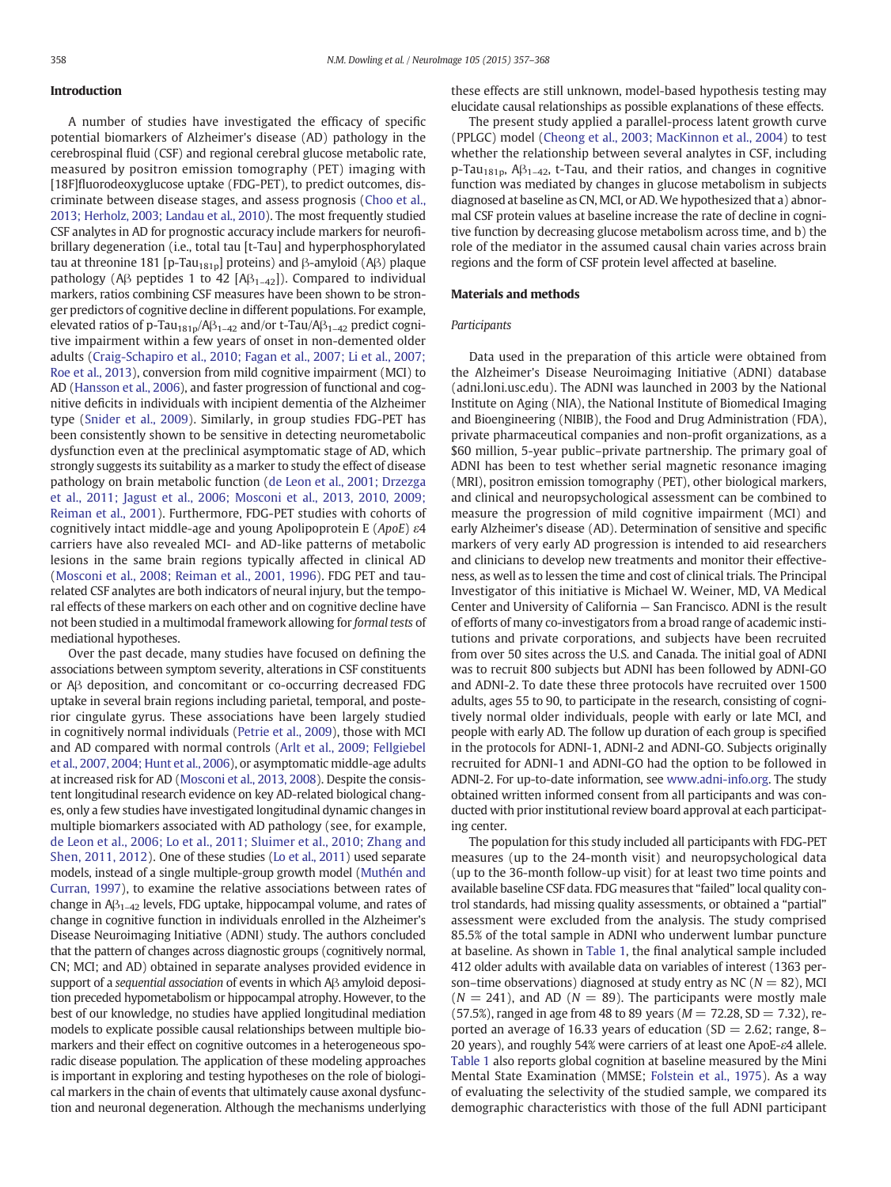# <span id="page-1-0"></span>Introduction

A number of studies have investigated the efficacy of specific potential biomarkers of Alzheimer's disease (AD) pathology in the cerebrospinal fluid (CSF) and regional cerebral glucose metabolic rate, measured by positron emission tomography (PET) imaging with [18F]fluorodeoxyglucose uptake (FDG-PET), to predict outcomes, discriminate between disease stages, and assess prognosis [\(Choo et al.,](#page-10-0) [2013; Herholz, 2003; Landau et al., 2010](#page-10-0)). The most frequently studied CSF analytes in AD for prognostic accuracy include markers for neurofibrillary degeneration (i.e., total tau [t-Tau] and hyperphosphorylated tau at threonine 181 [p-Tau<sub>181p</sub>] proteins) and β-amyloid (Aβ) plaque pathology (A $\beta$  peptides 1 to 42 [A $\beta$ <sub>1-42</sub>]). Compared to individual markers, ratios combining CSF measures have been shown to be stronger predictors of cognitive decline in different populations. For example, elevated ratios of p-Tau<sub>181p</sub>/A $\beta_{1-42}$  and/or t-Tau/A $\beta_{1-42}$  predict cognitive impairment within a few years of onset in non-demented older adults [\(Craig-Schapiro et al., 2010; Fagan et al., 2007; Li et al., 2007;](#page-10-0) [Roe et al., 2013](#page-10-0)), conversion from mild cognitive impairment (MCI) to AD ([Hansson et al., 2006](#page-10-0)), and faster progression of functional and cognitive deficits in individuals with incipient dementia of the Alzheimer type ([Snider et al., 2009\)](#page-11-0). Similarly, in group studies FDG-PET has been consistently shown to be sensitive in detecting neurometabolic dysfunction even at the preclinical asymptomatic stage of AD, which strongly suggests its suitability as a marker to study the effect of disease pathology on brain metabolic function ([de Leon et al., 2001; Drzezga](#page-10-0) [et al., 2011; Jagust et al., 2006; Mosconi et al., 2013, 2010, 2009;](#page-10-0) [Reiman et al., 2001](#page-10-0)). Furthermore, FDG-PET studies with cohorts of cognitively intact middle-age and young Apolipoprotein E (ApoE) ε4 carriers have also revealed MCI- and AD-like patterns of metabolic lesions in the same brain regions typically affected in clinical AD [\(Mosconi et al., 2008; Reiman et al., 2001, 1996\)](#page-10-0). FDG PET and taurelated CSF analytes are both indicators of neural injury, but the temporal effects of these markers on each other and on cognitive decline have not been studied in a multimodal framework allowing for formal tests of mediational hypotheses.

Over the past decade, many studies have focused on defining the associations between symptom severity, alterations in CSF constituents or Aβ deposition, and concomitant or co-occurring decreased FDG uptake in several brain regions including parietal, temporal, and posterior cingulate gyrus. These associations have been largely studied in cognitively normal individuals [\(Petrie et al., 2009\)](#page-11-0), those with MCI and AD compared with normal controls [\(Arlt et al., 2009; Fellgiebel](#page-10-0) [et al., 2007, 2004; Hunt et al., 2006\)](#page-10-0), or asymptomatic middle-age adults at increased risk for AD [\(Mosconi et al., 2013, 2008](#page-10-0)). Despite the consistent longitudinal research evidence on key AD-related biological changes, only a few studies have investigated longitudinal dynamic changes in multiple biomarkers associated with AD pathology (see, for example, [de Leon et al., 2006; Lo et al., 2011; Sluimer et al., 2010; Zhang and](#page-10-0) [Shen, 2011, 2012\)](#page-10-0). One of these studies ([Lo et al., 2011](#page-10-0)) used separate models, instead of a single multiple-group growth model [\(Muthén and](#page-10-0) [Curran, 1997\)](#page-10-0), to examine the relative associations between rates of change in  $AB_{1-42}$  levels, FDG uptake, hippocampal volume, and rates of change in cognitive function in individuals enrolled in the Alzheimer's Disease Neuroimaging Initiative (ADNI) study. The authors concluded that the pattern of changes across diagnostic groups (cognitively normal, CN; MCI; and AD) obtained in separate analyses provided evidence in support of a sequential association of events in which Aβ amyloid deposition preceded hypometabolism or hippocampal atrophy. However, to the best of our knowledge, no studies have applied longitudinal mediation models to explicate possible causal relationships between multiple biomarkers and their effect on cognitive outcomes in a heterogeneous sporadic disease population. The application of these modeling approaches is important in exploring and testing hypotheses on the role of biological markers in the chain of events that ultimately cause axonal dysfunction and neuronal degeneration. Although the mechanisms underlying these effects are still unknown, model-based hypothesis testing may elucidate causal relationships as possible explanations of these effects.

The present study applied a parallel-process latent growth curve (PPLGC) model ([Cheong et al., 2003; MacKinnon et al., 2004\)](#page-10-0) to test whether the relationship between several analytes in CSF, including p-Tau<sub>181p</sub>,  $AB_{1-42}$ , t-Tau, and their ratios, and changes in cognitive function was mediated by changes in glucose metabolism in subjects diagnosed at baseline as CN, MCI, or AD.We hypothesized that a) abnormal CSF protein values at baseline increase the rate of decline in cognitive function by decreasing glucose metabolism across time, and b) the role of the mediator in the assumed causal chain varies across brain regions and the form of CSF protein level affected at baseline.

# Materials and methods

# Participants

Data used in the preparation of this article were obtained from the Alzheimer's Disease Neuroimaging Initiative (ADNI) database (adni.loni.usc.edu). The ADNI was launched in 2003 by the National Institute on Aging (NIA), the National Institute of Biomedical Imaging and Bioengineering (NIBIB), the Food and Drug Administration (FDA), private pharmaceutical companies and non-profit organizations, as a \$60 million, 5-year public–private partnership. The primary goal of ADNI has been to test whether serial magnetic resonance imaging (MRI), positron emission tomography (PET), other biological markers, and clinical and neuropsychological assessment can be combined to measure the progression of mild cognitive impairment (MCI) and early Alzheimer's disease (AD). Determination of sensitive and specific markers of very early AD progression is intended to aid researchers and clinicians to develop new treatments and monitor their effectiveness, as well as to lessen the time and cost of clinical trials. The Principal Investigator of this initiative is Michael W. Weiner, MD, VA Medical Center and University of California — San Francisco. ADNI is the result of efforts of many co-investigators from a broad range of academic institutions and private corporations, and subjects have been recruited from over 50 sites across the U.S. and Canada. The initial goal of ADNI was to recruit 800 subjects but ADNI has been followed by ADNI-GO and ADNI-2. To date these three protocols have recruited over 1500 adults, ages 55 to 90, to participate in the research, consisting of cognitively normal older individuals, people with early or late MCI, and people with early AD. The follow up duration of each group is specified in the protocols for ADNI-1, ADNI-2 and ADNI-GO. Subjects originally recruited for ADNI-1 and ADNI-GO had the option to be followed in ADNI-2. For up-to-date information, see [www.adni-info.org.](http://www.adni-info.org) The study obtained written informed consent from all participants and was conducted with prior institutional review board approval at each participating center.

The population for this study included all participants with FDG-PET measures (up to the 24-month visit) and neuropsychological data (up to the 36-month follow-up visit) for at least two time points and available baseline CSF data. FDG measures that "failed" local quality control standards, had missing quality assessments, or obtained a "partial" assessment were excluded from the analysis. The study comprised 85.5% of the total sample in ADNI who underwent lumbar puncture at baseline. As shown in [Table 1,](#page-2-0) the final analytical sample included 412 older adults with available data on variables of interest (1363 person–time observations) diagnosed at study entry as NC ( $N = 82$ ), MCI  $(N = 241)$ , and AD  $(N = 89)$ . The participants were mostly male (57.5%), ranged in age from 48 to 89 years ( $M = 72.28$ , SD = 7.32), reported an average of 16.33 years of education (SD  $= 2.62$ ; range, 8– 20 years), and roughly 54% were carriers of at least one ApoE-ε4 allele. [Table 1](#page-2-0) also reports global cognition at baseline measured by the Mini Mental State Examination (MMSE; [Folstein et al., 1975\)](#page-10-0). As a way of evaluating the selectivity of the studied sample, we compared its demographic characteristics with those of the full ADNI participant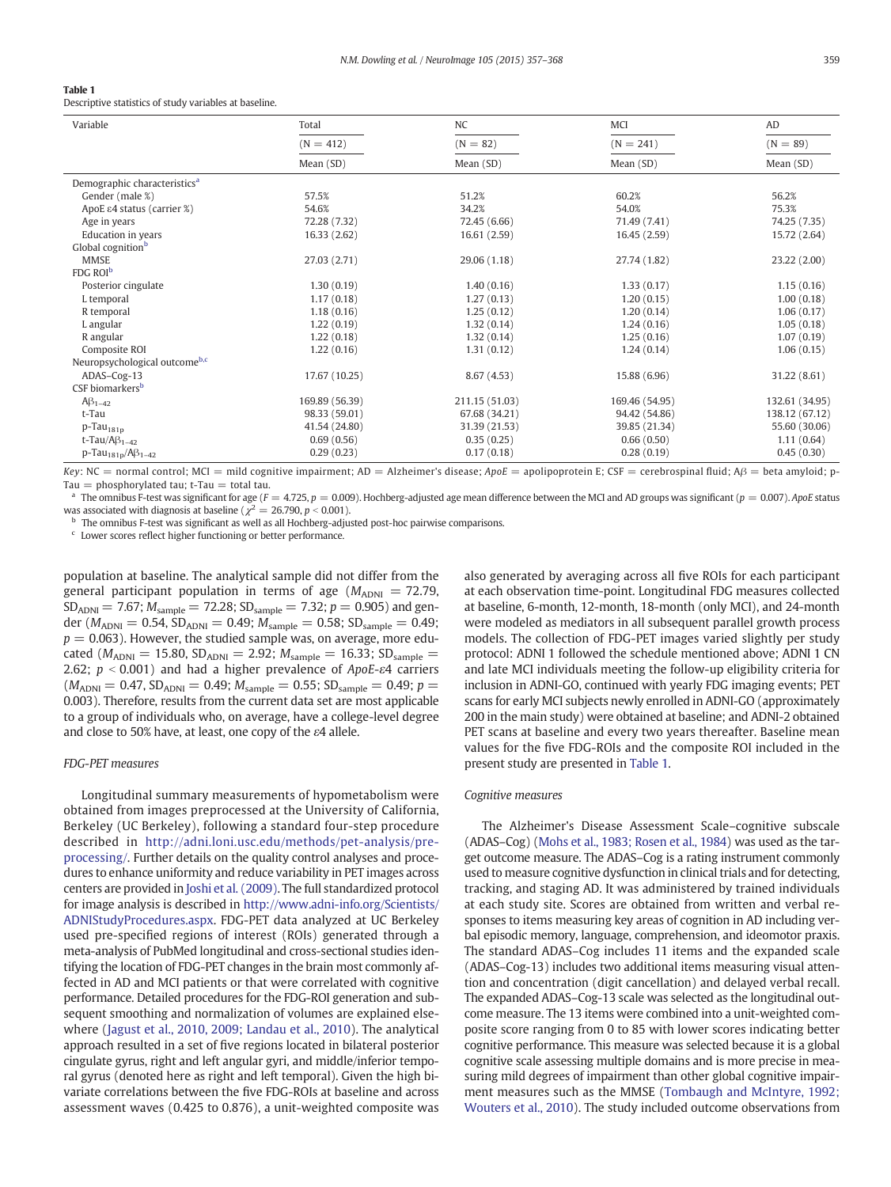#### <span id="page-2-0"></span>Table 1

Descriptive statistics of study variables at baseline.

| Variable                                            | Total          | <b>NC</b>      | MCI            | AD             |
|-----------------------------------------------------|----------------|----------------|----------------|----------------|
|                                                     | $(N = 412)$    | $(N = 82)$     | $(N = 241)$    | $(N = 89)$     |
|                                                     | Mean (SD)      | Mean (SD)      | Mean (SD)      | Mean (SD)      |
| Demographic characteristics <sup>a</sup>            |                |                |                |                |
| Gender (male %)                                     | 57.5%          | 51.2%          | 60.2%          | 56.2%          |
| ApoE $\epsilon$ 4 status (carrier %)                | 54.6%          | 34.2%          | 54.0%          | 75.3%          |
| Age in years                                        | 72.28 (7.32)   | 72.45 (6.66)   | 71.49 (7.41)   | 74.25 (7.35)   |
| Education in years                                  | 16.33 (2.62)   | 16.61 (2.59)   | 16.45 (2.59)   | 15.72 (2.64)   |
| Global cognition <sup>b</sup>                       |                |                |                |                |
| <b>MMSE</b>                                         | 27.03 (2.71)   | 29.06 (1.18)   | 27.74 (1.82)   | 23.22 (2.00)   |
| FDG ROI <sup>b</sup>                                |                |                |                |                |
| Posterior cingulate                                 | 1.30(0.19)     | 1.40(0.16)     | 1.33(0.17)     | 1.15(0.16)     |
| L temporal                                          | 1.17(0.18)     | 1.27(0.13)     | 1.20(0.15)     | 1.00(0.18)     |
| R temporal                                          | 1.18(0.16)     | 1.25(0.12)     | 1.20(0.14)     | 1.06(0.17)     |
| L angular                                           | 1.22(0.19)     | 1.32(0.14)     | 1.24(0.16)     | 1.05(0.18)     |
| R angular                                           | 1.22(0.18)     | 1.32(0.14)     | 1.25(0.16)     | 1.07(0.19)     |
| Composite ROI                                       | 1.22(0.16)     | 1.31(0.12)     | 1.24(0.14)     | 1.06(0.15)     |
| Neuropsychological outcome <sup>b,c</sup>           |                |                |                |                |
| ADAS-Cog-13                                         | 17.67 (10.25)  | 8.67(4.53)     | 15.88 (6.96)   | 31.22 (8.61)   |
| CSF biomarkers <sup>b</sup>                         |                |                |                |                |
| $AB_{1-42}$                                         | 169.89 (56.39) | 211.15 (51.03) | 169.46 (54.95) | 132.61 (34.95) |
| t-Tau                                               | 98.33 (59.01)  | 67.68 (34.21)  | 94.42 (54.86)  | 138.12 (67.12) |
| $p$ -Tau $_{181p}$                                  | 41.54 (24.80)  | 31.39 (21.53)  | 39.85 (21.34)  | 55.60 (30.06)  |
| t-Tau/A $\beta_{1-42}$                              | 0.69(0.56)     | 0.35(0.25)     | 0.66(0.50)     | 1.11(0.64)     |
| $p$ -Tau <sub>181p</sub> /A $\beta$ <sub>1-42</sub> | 0.29(0.23)     | 0.17(0.18)     | 0.28(0.19)     | 0.45(0.30)     |

Key: NC = normal control; MCI = mild cognitive impairment; AD = Alzheimer's disease; ApoE = apolipoprotein E; CSF = cerebrospinal fluid; A $\beta$  = beta amyloid; p-Tau  $=$  phosphorylated tau; t-Tau  $=$  total tau.

The omnibus F-test was significant for age (F = 4.725, p = 0.009). Hochberg-adjusted age mean difference between the MCI and AD groups was significant (p = 0.007). ApoE status was associated with diagnosis at baseline ( $\chi^2 = 26.790$ ,  $p < 0.001$ ).

The omnibus F-test was significant as well as all Hochberg-adjusted post-hoc pairwise comparisons.

<sup>c</sup> Lower scores reflect higher functioning or better performance.

population at baseline. The analytical sample did not differ from the general participant population in terms of age  $(M_{ADNI} = 72.79,$  $SD_{ADNI} = 7.67$ ;  $M_{sample} = 72.28$ ;  $SD_{sample} = 7.32$ ;  $p = 0.905$ ) and gender ( $M_{ADNI} = 0.54$ ,  $SD_{ADNI} = 0.49$ ;  $M_{sample} = 0.58$ ;  $SD_{sample} = 0.49$ ;  $p = 0.063$ ). However, the studied sample was, on average, more educated ( $M_{ADNI} = 15.80$ ,  $SD_{ADNI} = 2.92$ ;  $M_{sample} = 16.33$ ;  $SD_{sample} =$ 2.62;  $p < 0.001$ ) and had a higher prevalence of ApoE- $\epsilon$ 4 carriers  $(M_{ADNI} = 0.47, SD_{ADNI} = 0.49; M_{sample} = 0.55; SD_{sample} = 0.49; p =$ 0.003). Therefore, results from the current data set are most applicable to a group of individuals who, on average, have a college-level degree and close to 50% have, at least, one copy of the ε4 allele.

# FDG-PET measures

Longitudinal summary measurements of hypometabolism were obtained from images preprocessed at the University of California, Berkeley (UC Berkeley), following a standard four-step procedure described in [http://adni.loni.usc.edu/methods/pet-analysis/pre](http://adni.loni.usc.edu/methods/pet-analysis/pre-processing/)[processing/](http://adni.loni.usc.edu/methods/pet-analysis/pre-processing/). Further details on the quality control analyses and procedures to enhance uniformity and reduce variability in PET images across centers are provided in [Joshi et al. \(2009\)](#page-10-0). The full standardized protocol for image analysis is described in [http://www.adni-info.org/Scientists/](http://www.adni-info.org/Scientists/ADNIStudyProcedures.aspx) [ADNIStudyProcedures.aspx.](http://www.adni-info.org/Scientists/ADNIStudyProcedures.aspx) FDG-PET data analyzed at UC Berkeley used pre-specified regions of interest (ROIs) generated through a meta-analysis of PubMed longitudinal and cross-sectional studies identifying the location of FDG-PET changes in the brain most commonly affected in AD and MCI patients or that were correlated with cognitive performance. Detailed procedures for the FDG-ROI generation and subsequent smoothing and normalization of volumes are explained elsewhere ([Jagust et al., 2010, 2009; Landau et al., 2010](#page-10-0)). The analytical approach resulted in a set of five regions located in bilateral posterior cingulate gyrus, right and left angular gyri, and middle/inferior temporal gyrus (denoted here as right and left temporal). Given the high bivariate correlations between the five FDG-ROIs at baseline and across assessment waves (0.425 to 0.876), a unit-weighted composite was also generated by averaging across all five ROIs for each participant at each observation time-point. Longitudinal FDG measures collected at baseline, 6-month, 12-month, 18-month (only MCI), and 24-month were modeled as mediators in all subsequent parallel growth process models. The collection of FDG-PET images varied slightly per study protocol: ADNI 1 followed the schedule mentioned above; ADNI 1 CN and late MCI individuals meeting the follow-up eligibility criteria for inclusion in ADNI-GO, continued with yearly FDG imaging events; PET scans for early MCI subjects newly enrolled in ADNI-GO (approximately 200 in the main study) were obtained at baseline; and ADNI-2 obtained PET scans at baseline and every two years thereafter. Baseline mean values for the five FDG-ROIs and the composite ROI included in the present study are presented in Table 1.

#### Cognitive measures

The Alzheimer's Disease Assessment Scale–cognitive subscale (ADAS–Cog) [\(Mohs et al., 1983; Rosen et al., 1984\)](#page-10-0) was used as the target outcome measure. The ADAS–Cog is a rating instrument commonly used to measure cognitive dysfunction in clinical trials and for detecting, tracking, and staging AD. It was administered by trained individuals at each study site. Scores are obtained from written and verbal responses to items measuring key areas of cognition in AD including verbal episodic memory, language, comprehension, and ideomotor praxis. The standard ADAS–Cog includes 11 items and the expanded scale (ADAS–Cog-13) includes two additional items measuring visual attention and concentration (digit cancellation) and delayed verbal recall. The expanded ADAS–Cog-13 scale was selected as the longitudinal outcome measure. The 13 items were combined into a unit-weighted composite score ranging from 0 to 85 with lower scores indicating better cognitive performance. This measure was selected because it is a global cognitive scale assessing multiple domains and is more precise in measuring mild degrees of impairment than other global cognitive impairment measures such as the MMSE [\(Tombaugh and McIntyre, 1992;](#page-11-0) [Wouters et al., 2010](#page-11-0)). The study included outcome observations from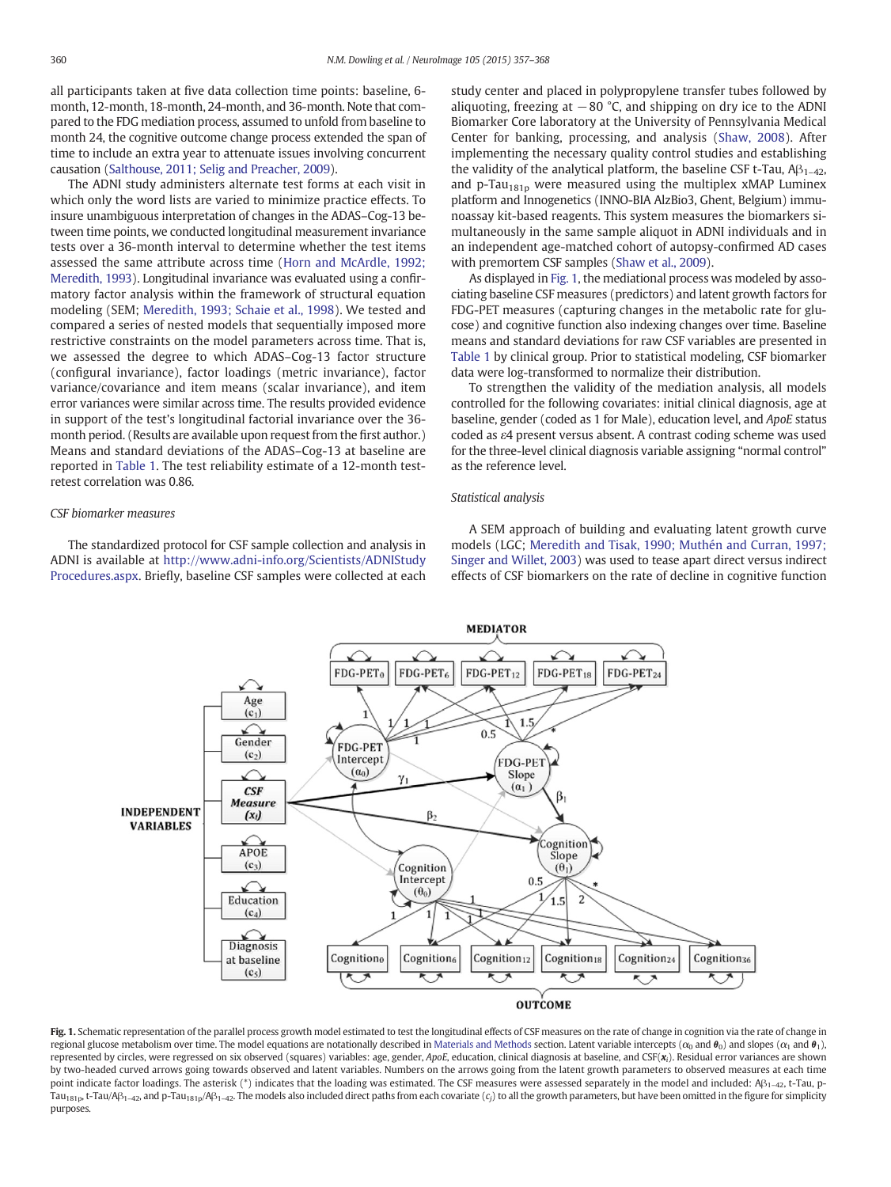<span id="page-3-0"></span>all participants taken at five data collection time points: baseline, 6 month, 12-month, 18-month, 24-month, and 36-month. Note that compared to the FDG mediation process, assumed to unfold from baseline to month 24, the cognitive outcome change process extended the span of time to include an extra year to attenuate issues involving concurrent causation [\(Salthouse, 2011; Selig and Preacher, 2009\)](#page-11-0).

The ADNI study administers alternate test forms at each visit in which only the word lists are varied to minimize practice effects. To insure unambiguous interpretation of changes in the ADAS–Cog-13 between time points, we conducted longitudinal measurement invariance tests over a 36-month interval to determine whether the test items assessed the same attribute across time [\(Horn and McArdle, 1992;](#page-10-0) [Meredith, 1993](#page-10-0)). Longitudinal invariance was evaluated using a confirmatory factor analysis within the framework of structural equation modeling (SEM; [Meredith, 1993; Schaie et al., 1998\)](#page-10-0). We tested and compared a series of nested models that sequentially imposed more restrictive constraints on the model parameters across time. That is, we assessed the degree to which ADAS–Cog-13 factor structure (configural invariance), factor loadings (metric invariance), factor variance/covariance and item means (scalar invariance), and item error variances were similar across time. The results provided evidence in support of the test's longitudinal factorial invariance over the 36 month period. (Results are available upon request from the first author.) Means and standard deviations of the ADAS–Cog-13 at baseline are reported in [Table 1](#page-2-0). The test reliability estimate of a 12-month testretest correlation was 0.86.

#### CSF biomarker measures

The standardized protocol for CSF sample collection and analysis in ADNI is available at [http://www.adni-info.org/Scientists/ADNIStudy](http://www.adni-info.org/Scientists/ADNIStudyProcedures.aspx) [Procedures.aspx.](http://www.adni-info.org/Scientists/ADNIStudyProcedures.aspx) Briefly, baseline CSF samples were collected at each study center and placed in polypropylene transfer tubes followed by aliquoting, freezing at  $-80$  °C, and shipping on dry ice to the ADNI Biomarker Core laboratory at the University of Pennsylvania Medical Center for banking, processing, and analysis [\(Shaw, 2008\)](#page-11-0). After implementing the necessary quality control studies and establishing the validity of the analytical platform, the baseline CSF t-Tau,  $AB_{1-42}$ , and p-Tau<sub>181p</sub> were measured using the multiplex xMAP Luminex platform and Innogenetics (INNO-BIA AlzBio3, Ghent, Belgium) immunoassay kit-based reagents. This system measures the biomarkers simultaneously in the same sample aliquot in ADNI individuals and in an independent age-matched cohort of autopsy-confirmed AD cases with premortem CSF samples [\(Shaw et al., 2009](#page-11-0)).

As displayed in Fig. 1, the mediational process was modeled by associating baseline CSF measures (predictors) and latent growth factors for FDG-PET measures (capturing changes in the metabolic rate for glucose) and cognitive function also indexing changes over time. Baseline means and standard deviations for raw CSF variables are presented in [Table 1](#page-2-0) by clinical group. Prior to statistical modeling, CSF biomarker data were log-transformed to normalize their distribution.

To strengthen the validity of the mediation analysis, all models controlled for the following covariates: initial clinical diagnosis, age at baseline, gender (coded as 1 for Male), education level, and ApoE status coded as ε4 present versus absent. A contrast coding scheme was used for the three-level clinical diagnosis variable assigning "normal control" as the reference level.

# Statistical analysis

A SEM approach of building and evaluating latent growth curve models (LGC; [Meredith and Tisak, 1990; Muthén and Curran, 1997;](#page-10-0) [Singer and Willet, 2003\)](#page-10-0) was used to tease apart direct versus indirect effects of CSF biomarkers on the rate of decline in cognitive function



Fig. 1. Schematic representation of the parallel process growth model estimated to test the longitudinal effects of CSF measures on the rate of change in cognition via the rate of change in regional glucose metabolism over time. The model equations are notationally described in [Materials and Methods](#page-1-0) section. Latent variable intercepts (α<sub>0</sub> and  $\theta$ <sub>0</sub>) and slopes (α<sub>1</sub> and  $\theta$ <sub>1</sub>), represented by circles, were regressed on six observed (squares) variables: age, gender, ApoE, education, clinical diagnosis at baseline, and CSF( $\boldsymbol{x}_i$ ). Residual error variances are shown by two-headed curved arrows going towards observed and latent variables. Numbers on the arrows going from the latent growth parameters to observed measures at each time point indicate factor loadings. The asterisk (\*) indicates that the loading was estimated. The CSF measures were assessed separately in the model and included: Aβ<sub>1-42</sub>, t-Tau, p-Tau<sub>181p</sub>, t-Tau/Aβ<sub>1–42</sub>, and p-Tau<sub>181p</sub>/Aβ<sub>1–42</sub>. The models also included direct paths from each covariate (c<sub>i</sub>) to all the growth parameters, but have been omitted in the figure for simplicity purposes.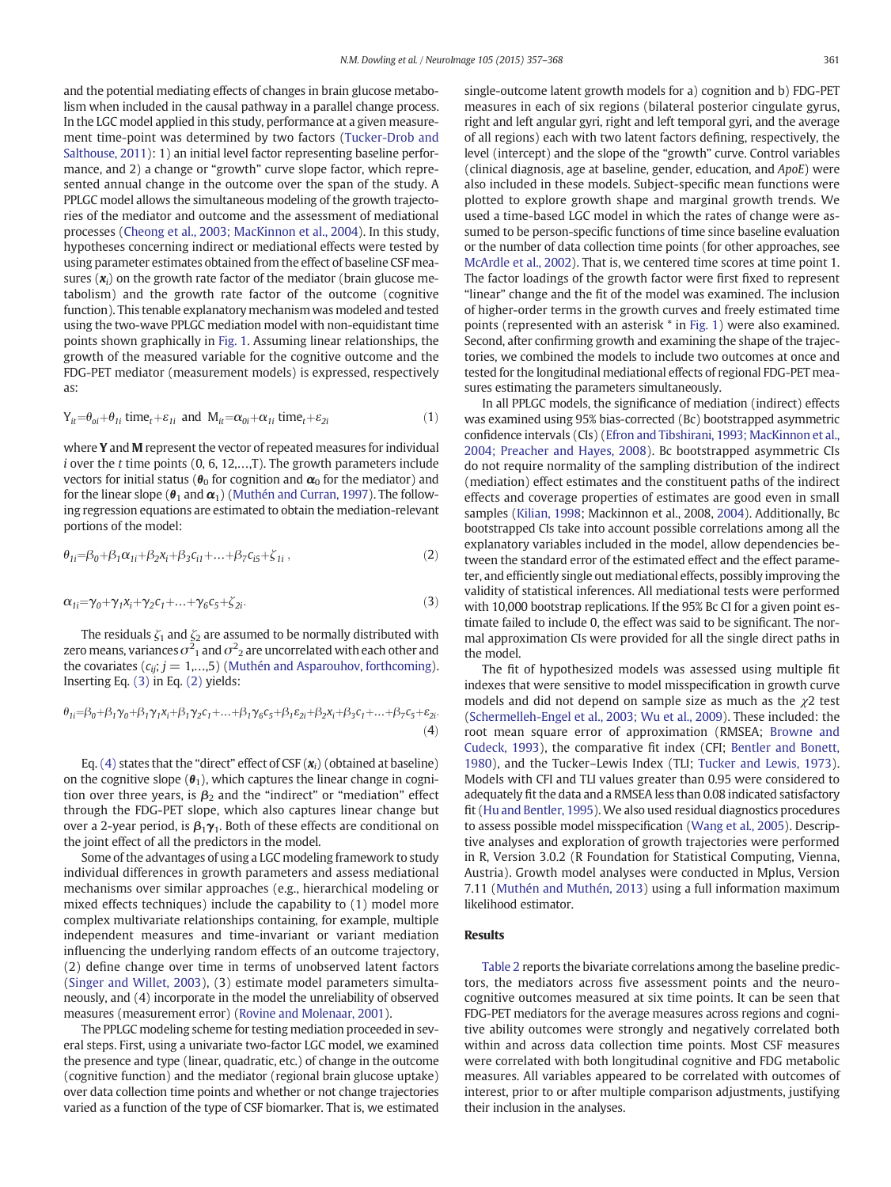and the potential mediating effects of changes in brain glucose metabolism when included in the causal pathway in a parallel change process. In the LGC model applied in this study, performance at a given measurement time-point was determined by two factors ([Tucker-Drob and](#page-11-0) [Salthouse, 2011](#page-11-0)): 1) an initial level factor representing baseline performance, and 2) a change or "growth" curve slope factor, which represented annual change in the outcome over the span of the study. A PPLGC model allows the simultaneous modeling of the growth trajectories of the mediator and outcome and the assessment of mediational processes ([Cheong et al., 2003; MacKinnon et al., 2004](#page-10-0)). In this study, hypotheses concerning indirect or mediational effects were tested by using parameter estimates obtained from the effect of baseline CSF measures  $(\boldsymbol{x}_i)$  on the growth rate factor of the mediator (brain glucose metabolism) and the growth rate factor of the outcome (cognitive function). This tenable explanatory mechanism was modeled and tested using the two-wave PPLGC mediation model with non-equidistant time points shown graphically in [Fig. 1](#page-3-0). Assuming linear relationships, the growth of the measured variable for the cognitive outcome and the FDG-PET mediator (measurement models) is expressed, respectively as:

$$
Y_{it} = \theta_{oi} + \theta_{1i} \text{ time}_{t} + \varepsilon_{1i} \text{ and } M_{it} = \alpha_{0i} + \alpha_{1i} \text{ time}_{t} + \varepsilon_{2i} \tag{1}
$$

where **Y** and **M** represent the vector of repeated measures for individual i over the t time points  $(0, 6, 12, \ldots, T)$ . The growth parameters include vectors for initial status ( $\theta_0$  for cognition and  $\alpha_0$  for the mediator) and for the linear slope ( $\theta_1$  and  $\alpha_1$ ) ([Muthén and Curran, 1997](#page-10-0)). The following regression equations are estimated to obtain the mediation-relevant portions of the model:

$$
\theta_{1i} = \beta_0 + \beta_1 \alpha_{1i} + \beta_2 x_i + \beta_3 c_{i1} + \dots + \beta_7 c_{i5} + \zeta_{1i} , \qquad (2)
$$

$$
\alpha_{1i} = \gamma_0 + \gamma_1 x_i + \gamma_2 c_1 + \dots + \gamma_6 c_5 + \zeta_{2i}.\tag{3}
$$

The residuals  $\zeta_1$  and  $\zeta_2$  are assumed to be normally distributed with zero means, variances  $\sigma^2{}_{1}$  and  $\sigma^2{}_{2}$  are uncorrelated with each other and the covariates ( $c_{ii}$ ;  $j = 1,...,5$ ) ([Muthén and Asparouhov, forthcoming](#page-10-0)). Inserting Eq. (3) in Eq. (2) yields:

$$
\theta_{1i} = \beta_0 + \beta_1 \gamma_0 + \beta_1 \gamma_1 x_i + \beta_1 \gamma_2 c_1 + \dots + \beta_1 \gamma_6 c_5 + \beta_1 \varepsilon_{2i} + \beta_2 x_i + \beta_3 c_1 + \dots + \beta_7 c_5 + \varepsilon_{2i}.
$$
\n
$$
\tag{4}
$$

Eq. (4) states that the "direct" effect of CSF  $(x_i)$  (obtained at baseline) on the cognitive slope  $(\theta_1)$ , which captures the linear change in cognition over three years, is  $\beta_2$  and the "indirect" or "mediation" effect through the FDG-PET slope, which also captures linear change but over a 2-year period, is  $\beta_1 \gamma_1$ . Both of these effects are conditional on the joint effect of all the predictors in the model.

Some of the advantages of using a LGC modeling framework to study individual differences in growth parameters and assess mediational mechanisms over similar approaches (e.g., hierarchical modeling or mixed effects techniques) include the capability to (1) model more complex multivariate relationships containing, for example, multiple independent measures and time-invariant or variant mediation influencing the underlying random effects of an outcome trajectory, (2) define change over time in terms of unobserved latent factors [\(Singer and Willet, 2003\)](#page-11-0), (3) estimate model parameters simultaneously, and (4) incorporate in the model the unreliability of observed measures (measurement error) ([Rovine and Molenaar, 2001](#page-11-0)).

The PPLGC modeling scheme for testing mediation proceeded in several steps. First, using a univariate two-factor LGC model, we examined the presence and type (linear, quadratic, etc.) of change in the outcome (cognitive function) and the mediator (regional brain glucose uptake) over data collection time points and whether or not change trajectories varied as a function of the type of CSF biomarker. That is, we estimated single-outcome latent growth models for a) cognition and b) FDG-PET measures in each of six regions (bilateral posterior cingulate gyrus, right and left angular gyri, right and left temporal gyri, and the average of all regions) each with two latent factors defining, respectively, the level (intercept) and the slope of the "growth" curve. Control variables (clinical diagnosis, age at baseline, gender, education, and ApoE) were also included in these models. Subject-specific mean functions were plotted to explore growth shape and marginal growth trends. We used a time-based LGC model in which the rates of change were assumed to be person-specific functions of time since baseline evaluation or the number of data collection time points (for other approaches, see [McArdle et al., 2002\)](#page-10-0). That is, we centered time scores at time point 1. The factor loadings of the growth factor were first fixed to represent "linear" change and the fit of the model was examined. The inclusion of higher-order terms in the growth curves and freely estimated time points (represented with an asterisk \* in [Fig. 1\)](#page-3-0) were also examined. Second, after confirming growth and examining the shape of the trajectories, we combined the models to include two outcomes at once and tested for the longitudinal mediational effects of regional FDG-PET measures estimating the parameters simultaneously.

In all PPLGC models, the significance of mediation (indirect) effects was examined using 95% bias-corrected (Bc) bootstrapped asymmetric confidence intervals (CIs) [\(Efron and Tibshirani, 1993; MacKinnon et al.,](#page-10-0) [2004; Preacher and Hayes, 2008](#page-10-0)). Bc bootstrapped asymmetric CIs do not require normality of the sampling distribution of the indirect (mediation) effect estimates and the constituent paths of the indirect effects and coverage properties of estimates are good even in small samples ([Kilian, 1998](#page-10-0); Mackinnon et al., 2008, [2004\)](#page-10-0). Additionally, Bc bootstrapped CIs take into account possible correlations among all the explanatory variables included in the model, allow dependencies between the standard error of the estimated effect and the effect parameter, and efficiently single out mediational effects, possibly improving the validity of statistical inferences. All mediational tests were performed with 10,000 bootstrap replications. If the 95% Bc CI for a given point estimate failed to include 0, the effect was said to be significant. The normal approximation CIs were provided for all the single direct paths in the model.

The fit of hypothesized models was assessed using multiple fit indexes that were sensitive to model misspecification in growth curve models and did not depend on sample size as much as the  $\chi$ 2 test [\(Schermelleh-Engel et al., 2003; Wu et al., 2009](#page-11-0)). These included: the root mean square error of approximation (RMSEA; [Browne and](#page-10-0) [Cudeck, 1993\)](#page-10-0), the comparative fit index (CFI; [Bentler and Bonett,](#page-10-0) [1980\)](#page-10-0), and the Tucker–Lewis Index (TLI; [Tucker and Lewis, 1973](#page-11-0)). Models with CFI and TLI values greater than 0.95 were considered to adequately fit the data and a RMSEA less than 0.08 indicated satisfactory fit [\(Hu and Bentler, 1995\)](#page-10-0). We also used residual diagnostics procedures to assess possible model misspecification [\(Wang et al., 2005](#page-11-0)). Descriptive analyses and exploration of growth trajectories were performed in R, Version 3.0.2 (R Foundation for Statistical Computing, Vienna, Austria). Growth model analyses were conducted in Mplus, Version 7.11 ([Muthén and Muthén, 2013](#page-10-0)) using a full information maximum likelihood estimator.

#### Results

[Table 2](#page-5-0) reports the bivariate correlations among the baseline predictors, the mediators across five assessment points and the neurocognitive outcomes measured at six time points. It can be seen that FDG-PET mediators for the average measures across regions and cognitive ability outcomes were strongly and negatively correlated both within and across data collection time points. Most CSF measures were correlated with both longitudinal cognitive and FDG metabolic measures. All variables appeared to be correlated with outcomes of interest, prior to or after multiple comparison adjustments, justifying their inclusion in the analyses.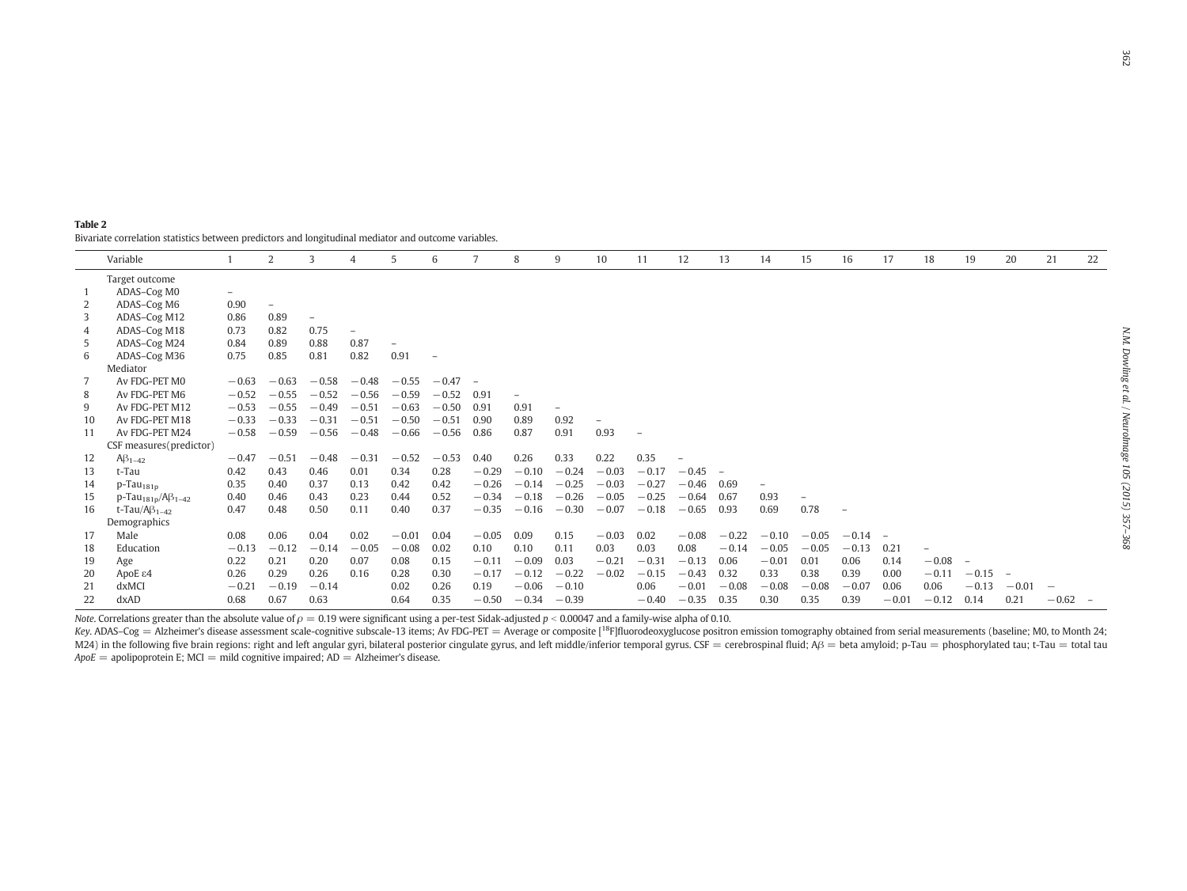<span id="page-5-0"></span>

| Table 2                                                                                              |
|------------------------------------------------------------------------------------------------------|
| Bivariate correlation statistics between predictors and longitudinal mediator and outcome variables. |

|    | Variable                                   |                   | 2                        | 3                        | 4              | 5                        | 6                        | $\overline{7}$ | 8                        | 9                        | 10                       | 11      | 12                       | 13                       | 14                       | 15                       | 16                       | 17      | 18      | 19                       | 20      | 21                | 22 |
|----|--------------------------------------------|-------------------|--------------------------|--------------------------|----------------|--------------------------|--------------------------|----------------|--------------------------|--------------------------|--------------------------|---------|--------------------------|--------------------------|--------------------------|--------------------------|--------------------------|---------|---------|--------------------------|---------|-------------------|----|
|    | Target outcome                             |                   |                          |                          |                |                          |                          |                |                          |                          |                          |         |                          |                          |                          |                          |                          |         |         |                          |         |                   |    |
|    | ADAS-Cog M0                                | $\qquad \qquad -$ |                          |                          |                |                          |                          |                |                          |                          |                          |         |                          |                          |                          |                          |                          |         |         |                          |         |                   |    |
|    | ADAS-Cog M6                                | 0.90              | $\overline{\phantom{0}}$ |                          |                |                          |                          |                |                          |                          |                          |         |                          |                          |                          |                          |                          |         |         |                          |         |                   |    |
| 3  | ADAS-Cog M12                               | 0.86              | 0.89                     | $\overline{\phantom{a}}$ |                |                          |                          |                |                          |                          |                          |         |                          |                          |                          |                          |                          |         |         |                          |         |                   |    |
| 4  | ADAS-Cog M18                               | 0.73              | 0.82                     | 0.75                     | $\overline{a}$ |                          |                          |                |                          |                          |                          |         |                          |                          |                          |                          |                          |         |         |                          |         |                   |    |
| 5  | ADAS-Cog M24                               | 0.84              | 0.89                     | 0.88                     | 0.87           | $\overline{\phantom{a}}$ |                          |                |                          |                          |                          |         |                          |                          |                          |                          |                          |         |         |                          |         |                   |    |
| 6  | ADAS-Cog M36                               | 0.75              | 0.85                     | 0.81                     | 0.82           | 0.91                     | $\overline{\phantom{a}}$ |                |                          |                          |                          |         |                          |                          |                          |                          |                          |         |         |                          |         |                   |    |
|    | Mediator                                   |                   |                          |                          |                |                          |                          |                |                          |                          |                          |         |                          |                          |                          |                          |                          |         |         |                          |         |                   |    |
|    | Av FDG-PET M0                              | $-0.63$           | $-0.63$                  | $-0.58$                  | $-0.48$        | $-0.55$                  | $-0.47$                  |                |                          |                          |                          |         |                          |                          |                          |                          |                          |         |         |                          |         |                   |    |
| 8  | Av FDG-PET M6                              | $-0.52$           | $-0.55$                  | $-0.52$                  | $-0.56$        | $-0.59$                  | $-0.52$                  | 0.91           | $\overline{\phantom{m}}$ |                          |                          |         |                          |                          |                          |                          |                          |         |         |                          |         |                   |    |
| 9  | Av FDG-PET M12                             | $-0.53$           | $-0.55$                  | $-0.49$                  | $-0.51$        | $-0.63$                  | $-0.50$                  | 0.91           | 0.91                     | $\overline{\phantom{m}}$ |                          |         |                          |                          |                          |                          |                          |         |         |                          |         |                   |    |
| 10 | Av FDG-PET M18                             | $-0.33$           | $-0.33$                  | $-0.31$                  | $-0.51$        | $-0.50$                  | $-0.51$                  | 0.90           | 0.89                     | 0.92                     | $\overline{\phantom{0}}$ |         |                          |                          |                          |                          |                          |         |         |                          |         |                   |    |
| 11 | Av FDG-PET M24                             | $-0.58$           | $-0.59$                  | $-0.56$                  | $-0.48$        | $-0.66$                  | $-0.56$                  | 0.86           | 0.87                     | 0.91                     | 0.93                     |         |                          |                          |                          |                          |                          |         |         |                          |         |                   |    |
|    | CSF measures (predictor)                   |                   |                          |                          |                |                          |                          |                |                          |                          |                          |         |                          |                          |                          |                          |                          |         |         |                          |         |                   |    |
| 12 | $AB_{1-42}$                                | $-0.47$           | $-0.51$                  | $-0.48$                  | $-0.31$        | $-0.52$                  | $-0.53$                  | 0.40           | 0.26                     | 0.33                     | 0.22                     | 0.35    | $\overline{\phantom{0}}$ |                          |                          |                          |                          |         |         |                          |         |                   |    |
| 13 | t-Tau                                      | 0.42              | 0.43                     | 0.46                     | 0.01           | 0.34                     | 0.28                     | $-0.29$        | $-0.10$                  | $-0.24$                  | $-0.03$                  | $-0.17$ | $-0.45$                  | $\overline{\phantom{m}}$ |                          |                          |                          |         |         |                          |         |                   |    |
| 14 | $p$ -Tau $_{181p}$                         | 0.35              | 0.40                     | 0.37                     | 0.13           | 0.42                     | 0.42                     | $-0.26$        | $-0.14$                  | $-0.25$                  | $-0.03$                  | $-0.27$ | $-0.46$                  | 0.69                     | $\overline{\phantom{0}}$ |                          |                          |         |         |                          |         |                   |    |
| 15 | $p$ -Tau <sub>181p</sub> /A $\beta_{1-42}$ | 0.40              | 0.46                     | 0.43                     | 0.23           | 0.44                     | 0.52                     | $-0.34$        | $-0.18$                  | $-0.26$                  | $-0.05$                  | $-0.25$ | $-0.64$                  | 0.67                     | 0.93                     | $\overline{\phantom{0}}$ |                          |         |         |                          |         |                   |    |
| 16 | t-Tau/A $\beta_{1-42}$                     | 0.47              | 0.48                     | 0.50                     | 0.11           | 0.40                     | 0.37                     | $-0.35$        | $-0.16$                  | $-0.30$                  | $-0.07$                  | $-0.18$ | $-0.65$                  | 0.93                     | 0.69                     | 0.78                     | $\overline{\phantom{m}}$ |         |         |                          |         |                   |    |
|    | Demographics                               |                   |                          |                          |                |                          |                          |                |                          |                          |                          |         |                          |                          |                          |                          |                          |         |         |                          |         |                   |    |
| 17 | Male                                       | 0.08              | 0.06                     | 0.04                     | 0.02           | $-0.01$                  | 0.04                     | $-0.05$        | 0.09                     | 0.15                     | $-0.03$                  | 0.02    | $-0.08$                  | $-0.22$                  | $-0.10$                  | $-0.05$                  | $-0.14 -$                |         |         |                          |         |                   |    |
| 18 | Education                                  | $-0.13$           | $-0.12$                  | $-0.14$                  | $-0.05$        | $-0.08$                  | 0.02                     | 0.10           | 0.10                     | 0.11                     | 0.03                     | 0.03    | 0.08                     | $-0.14$                  | $-0.05$                  | $-0.05$                  | $-0.13$                  | 0.21    |         |                          |         |                   |    |
| 19 | Age                                        | 0.22              | 0.21                     | 0.20                     | 0.07           | 0.08                     | 0.15                     | $-0.11$        | $-0.09$                  | 0.03                     | $-0.21$                  | $-0.31$ | $-0.13$                  | 0.06                     | $-0.01$                  | 0.01                     | 0.06                     | 0.14    | $-0.08$ | $\overline{\phantom{m}}$ |         |                   |    |
| 20 | ApoE ε4                                    | 0.26              | 0.29                     | 0.26                     | 0.16           | 0.28                     | 0.30                     | $-0.17$        | $-0.12$                  | $-0.22$                  | $-0.02$                  | $-0.15$ | $-0.43$                  | 0.32                     | 0.33                     | 0.38                     | 0.39                     | 0.00    | $-0.11$ | $-0.15 -$                |         |                   |    |
| 21 | dxMCI                                      | $-0.21$           | $-0.19$                  | $-0.14$                  |                | 0.02                     | 0.26                     | 0.19           | $-0.06$                  | $-0.10$                  |                          | 0.06    | $-0.01$                  | $-0.08$                  | $-0.08$                  | $-0.08$                  | $-0.07$                  | 0.06    | 0.06    | $-0.13$                  | $-0.01$ | $\qquad \qquad -$ |    |
| 22 | dxAD                                       | 0.68              | 0.67                     | 0.63                     |                | 0.64                     | 0.35                     | $-0.50$        | $-0.34$                  | $-0.39$                  |                          | $-0.40$ | $-0.35$                  | 0.35                     | 0.30                     | 0.35                     | 0.39                     | $-0.01$ | $-0.12$ | 0.14                     | 0.21    | $-0.62$           |    |

Note. Correlations greater than the absolute value of  $\rho = 0.19$  were significant using a per-test Sidak-adjusted  $p < 0.00047$  and a family-wise alpha of 0.10.

Key. ADAS-Cog = Alzheimer's disease assessment scale-cognitive subscale-13 items; Av FDG-PET = Average or composite [<sup>18</sup>F]fluorodeoxyglucose positron emission tomography obtained from serial measurements (baseline; M0, to M24) in the following five brain regions: right and left angular gyri, bilateral posterior cingulate gyrus, and left middle/inferior temporal gyrus. CSF = cerebrospinal fluid; AB = beta amyloid; p-Tau = phosphorylated tau;  $ApoE =$  apolipoprotein E; MCI = mild cognitive impaired;  $AD =$  Alzheimer's disease.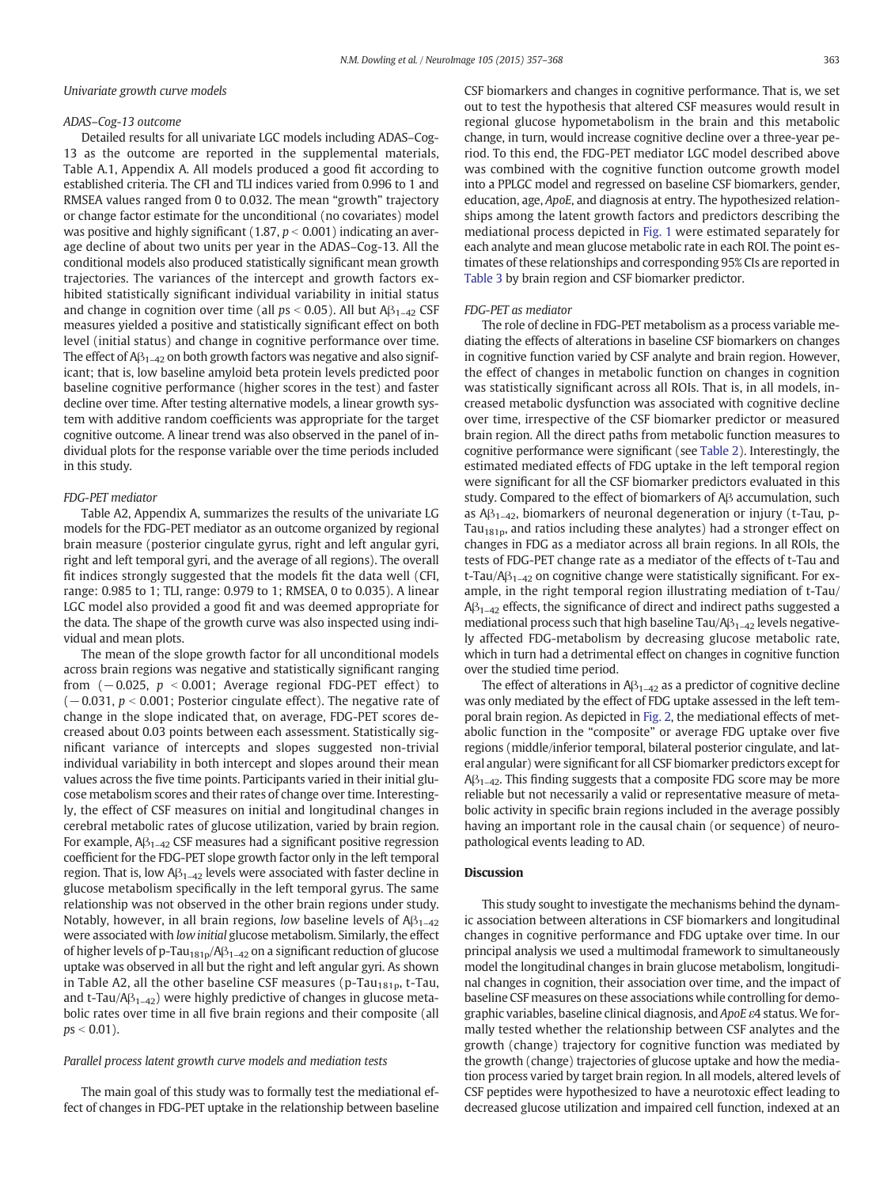# Univariate growth curve models

#### ADAS–Cog-13 outcome

Detailed results for all univariate LGC models including ADAS–Cog-13 as the outcome are reported in the supplemental materials, Table A.1, Appendix A. All models produced a good fit according to established criteria. The CFI and TLI indices varied from 0.996 to 1 and RMSEA values ranged from 0 to 0.032. The mean "growth" trajectory or change factor estimate for the unconditional (no covariates) model was positive and highly significant (1.87,  $p < 0.001$ ) indicating an average decline of about two units per year in the ADAS–Cog-13. All the conditional models also produced statistically significant mean growth trajectories. The variances of the intercept and growth factors exhibited statistically significant individual variability in initial status and change in cognition over time (all  $ps < 0.05$ ). All but A $\beta_{1-42}$  CSF measures yielded a positive and statistically significant effect on both level (initial status) and change in cognitive performance over time. The effect of  $AB_{1-42}$  on both growth factors was negative and also significant; that is, low baseline amyloid beta protein levels predicted poor baseline cognitive performance (higher scores in the test) and faster decline over time. After testing alternative models, a linear growth system with additive random coefficients was appropriate for the target cognitive outcome. A linear trend was also observed in the panel of individual plots for the response variable over the time periods included in this study.

### FDG-PET mediator

Table A2, Appendix A, summarizes the results of the univariate LG models for the FDG-PET mediator as an outcome organized by regional brain measure (posterior cingulate gyrus, right and left angular gyri, right and left temporal gyri, and the average of all regions). The overall fit indices strongly suggested that the models fit the data well (CFI, range: 0.985 to 1; TLI, range: 0.979 to 1; RMSEA, 0 to 0.035). A linear LGC model also provided a good fit and was deemed appropriate for the data. The shape of the growth curve was also inspected using individual and mean plots.

The mean of the slope growth factor for all unconditional models across brain regions was negative and statistically significant ranging from  $(-0.025, p < 0.001$ ; Average regional FDG-PET effect) to  $(-0.031, p < 0.001$ ; Posterior cingulate effect). The negative rate of change in the slope indicated that, on average, FDG-PET scores decreased about 0.03 points between each assessment. Statistically significant variance of intercepts and slopes suggested non-trivial individual variability in both intercept and slopes around their mean values across the five time points. Participants varied in their initial glucose metabolism scores and their rates of change over time. Interestingly, the effect of CSF measures on initial and longitudinal changes in cerebral metabolic rates of glucose utilization, varied by brain region. For example,  $AB_{1-42}$  CSF measures had a significant positive regression coefficient for the FDG-PET slope growth factor only in the left temporal region. That is, low  $AB_{1-42}$  levels were associated with faster decline in glucose metabolism specifically in the left temporal gyrus. The same relationship was not observed in the other brain regions under study. Notably, however, in all brain regions, low baseline levels of  $AB_{1-42}$ were associated with low initial glucose metabolism. Similarly, the effect of higher levels of p-Tau<sub>181p</sub>/A $\beta$ <sub>1-42</sub> on a significant reduction of glucose uptake was observed in all but the right and left angular gyri. As shown in Table A2, all the other baseline CSF measures ( $p$ -Tau<sub>181p</sub>, t-Tau, and t-Tau/A $\beta_{1-42}$ ) were highly predictive of changes in glucose metabolic rates over time in all five brain regions and their composite (all  $ps < 0.01$ ).

# Parallel process latent growth curve models and mediation tests

The main goal of this study was to formally test the mediational effect of changes in FDG-PET uptake in the relationship between baseline CSF biomarkers and changes in cognitive performance. That is, we set out to test the hypothesis that altered CSF measures would result in regional glucose hypometabolism in the brain and this metabolic change, in turn, would increase cognitive decline over a three-year period. To this end, the FDG-PET mediator LGC model described above was combined with the cognitive function outcome growth model into a PPLGC model and regressed on baseline CSF biomarkers, gender, education, age, ApoE, and diagnosis at entry. The hypothesized relationships among the latent growth factors and predictors describing the mediational process depicted in [Fig. 1](#page-3-0) were estimated separately for each analyte and mean glucose metabolic rate in each ROI. The point estimates of these relationships and corresponding 95% CIs are reported in

[Table 3](#page-7-0) by brain region and CSF biomarker predictor.

### FDG-PET as mediator

The role of decline in FDG-PET metabolism as a process variable mediating the effects of alterations in baseline CSF biomarkers on changes in cognitive function varied by CSF analyte and brain region. However, the effect of changes in metabolic function on changes in cognition was statistically significant across all ROIs. That is, in all models, increased metabolic dysfunction was associated with cognitive decline over time, irrespective of the CSF biomarker predictor or measured brain region. All the direct paths from metabolic function measures to cognitive performance were significant (see [Table 2\)](#page-5-0). Interestingly, the estimated mediated effects of FDG uptake in the left temporal region were significant for all the CSF biomarker predictors evaluated in this study. Compared to the effect of biomarkers of Aβ accumulation, such as  $AB_{1-42}$ , biomarkers of neuronal degeneration or injury (t-Tau, p-Tau<sub>181p</sub>, and ratios including these analytes) had a stronger effect on changes in FDG as a mediator across all brain regions. In all ROIs, the tests of FDG-PET change rate as a mediator of the effects of t-Tau and t-Tau/A $\beta_{1-42}$  on cognitive change were statistically significant. For example, in the right temporal region illustrating mediation of t-Tau/  $AB<sub>1-42</sub>$  effects, the significance of direct and indirect paths suggested a mediational process such that high baseline  $\text{Tau}/\text{AB}_{1-42}$  levels negatively affected FDG-metabolism by decreasing glucose metabolic rate, which in turn had a detrimental effect on changes in cognitive function over the studied time period.

The effect of alterations in  $AB_{1-42}$  as a predictor of cognitive decline was only mediated by the effect of FDG uptake assessed in the left temporal brain region. As depicted in [Fig. 2,](#page-8-0) the mediational effects of metabolic function in the "composite" or average FDG uptake over five regions (middle/inferior temporal, bilateral posterior cingulate, and lateral angular) were significant for all CSF biomarker predictors except for  $AB_{1-42}$ . This finding suggests that a composite FDG score may be more reliable but not necessarily a valid or representative measure of metabolic activity in specific brain regions included in the average possibly having an important role in the causal chain (or sequence) of neuropathological events leading to AD.

# **Discussion**

This study sought to investigate the mechanisms behind the dynamic association between alterations in CSF biomarkers and longitudinal changes in cognitive performance and FDG uptake over time. In our principal analysis we used a multimodal framework to simultaneously model the longitudinal changes in brain glucose metabolism, longitudinal changes in cognition, their association over time, and the impact of baseline CSF measures on these associations while controlling for demographic variables, baseline clinical diagnosis, and ApoE ε4 status.We formally tested whether the relationship between CSF analytes and the growth (change) trajectory for cognitive function was mediated by the growth (change) trajectories of glucose uptake and how the mediation process varied by target brain region. In all models, altered levels of CSF peptides were hypothesized to have a neurotoxic effect leading to decreased glucose utilization and impaired cell function, indexed at an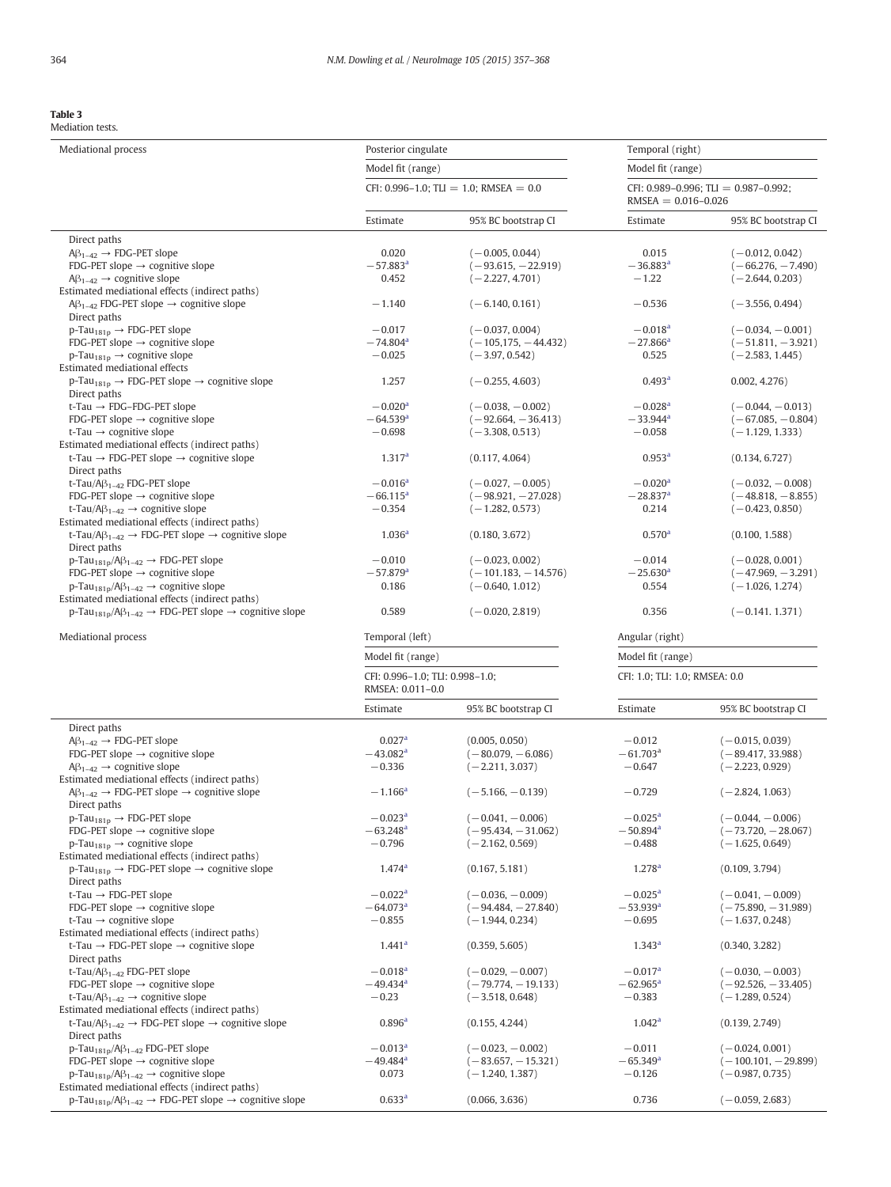### <span id="page-7-0"></span>Table 3

Mediation tests.

| Mediational process                                                                                                      | Posterior cingulate                          |                                             | Temporal (right)                                                                           |                                            |  |  |
|--------------------------------------------------------------------------------------------------------------------------|----------------------------------------------|---------------------------------------------|--------------------------------------------------------------------------------------------|--------------------------------------------|--|--|
|                                                                                                                          | Model fit (range)                            |                                             | Model fit (range)<br>CFI: $0.989-0.996$ ; TLI = $0.987-0.992$ ;<br>$RMSEA = 0.016 - 0.026$ |                                            |  |  |
|                                                                                                                          |                                              | CFI: 0.996-1.0; TLI = 1.0; RMSEA = $0.0$    |                                                                                            |                                            |  |  |
|                                                                                                                          | Estimate                                     | 95% BC bootstrap CI                         | Estimate                                                                                   | 95% BC bootstrap CI                        |  |  |
| Direct paths                                                                                                             |                                              |                                             |                                                                                            |                                            |  |  |
| $AB_{1-42} \rightarrow FDG-PET slope$                                                                                    | 0.020                                        | $(-0.005, 0.044)$                           | 0.015                                                                                      | $(-0.012, 0.042)$                          |  |  |
| FDG-PET slope $\rightarrow$ cognitive slope                                                                              | $-57.883$ <sup>a</sup>                       | $(-93.615, -22.919)$                        | $-36.883$ <sup>a</sup>                                                                     | $(-66.276, -7.490)$                        |  |  |
| $A\beta_{1-42} \rightarrow$ cognitive slope                                                                              | 0.452                                        | $(-2.227, 4.701)$                           | $-1.22$                                                                                    | $(-2.644, 0.203)$                          |  |  |
| Estimated mediational effects (indirect paths)                                                                           |                                              |                                             |                                                                                            |                                            |  |  |
| $AB_{1-42}$ FDG-PET slope $\rightarrow$ cognitive slope                                                                  | $-1,140$                                     | $(-6.140, 0.161)$                           | $-0.536$                                                                                   | $(-3.556, 0.494)$                          |  |  |
| Direct paths                                                                                                             |                                              |                                             |                                                                                            |                                            |  |  |
| $p$ -Tau <sub>181p</sub> $\rightarrow$ FDG-PET slope<br>FDG-PET slope $\rightarrow$ cognitive slope                      | $-0.017$<br>$-74.804$ <sup>a</sup>           | $(-0.037, 0.004)$<br>$(-105, 175, -44.432)$ | $-0.018$ <sup>a</sup><br>$-27.866^{\rm a}$                                                 | $(-0.034, -0.001)$<br>$(-51.811, -3.921)$  |  |  |
| $p$ -Tau <sub>181p</sub> $\rightarrow$ cognitive slope                                                                   | $-0.025$                                     | $(-3.97, 0.542)$                            | 0.525                                                                                      | $(-2.583, 1.445)$                          |  |  |
| Estimated mediational effects                                                                                            |                                              |                                             |                                                                                            |                                            |  |  |
| $p$ -Tau <sub>181p</sub> $\rightarrow$ FDG-PET slope $\rightarrow$ cognitive slope                                       | 1.257                                        | $(-0.255, 4.603)$                           | 0.493 <sup>a</sup>                                                                         | 0.002, 4.276                               |  |  |
| Direct paths                                                                                                             |                                              |                                             |                                                                                            |                                            |  |  |
| $t$ -Tau $\rightarrow$ FDG-FDG-PET slope                                                                                 | $-0.020$ <sup>a</sup>                        | $(-0.038, -0.002)$                          | $-0.028$ <sup>a</sup>                                                                      | $(-0.044, -0.013)$                         |  |  |
| FDG-PET slope $\rightarrow$ cognitive slope                                                                              | $-64.539$ <sup>a</sup>                       | $(-92.664, -36.413)$                        | $-33.944$ <sup>a</sup>                                                                     | $(-67.085, -0.804)$                        |  |  |
| t-Tau $\rightarrow$ cognitive slope                                                                                      | $-0.698$                                     | $(-3.308, 0.513)$                           | $-0.058$                                                                                   | $(-1.129, 1.333)$                          |  |  |
| Estimated mediational effects (indirect paths)<br>t-Tau $\rightarrow$ FDG-PET slope $\rightarrow$ cognitive slope        | 1.317 <sup>a</sup>                           | (0.117, 4.064)                              | 0.953 <sup>a</sup>                                                                         | (0.134, 6.727)                             |  |  |
| Direct paths                                                                                                             |                                              |                                             |                                                                                            |                                            |  |  |
| t-Tau/A $\beta_{1-42}$ FDG-PET slope                                                                                     | $-0.016^{\rm a}$                             | $(-0.027, -0.005)$                          | $-0.020a$                                                                                  | $(-0.032, -0.008)$                         |  |  |
| FDG-PET slope $\rightarrow$ cognitive slope                                                                              | $-66.115^{\rm a}$                            | $(-98.921, -27.028)$                        | $-28.837$ <sup>a</sup>                                                                     | $(-48.818, -8.855)$                        |  |  |
| t-Tau/A $\beta_{1-42} \rightarrow$ cognitive slope                                                                       | $-0.354$                                     | $(-1.282, 0.573)$                           | 0.214                                                                                      | $(-0.423, 0.850)$                          |  |  |
| Estimated mediational effects (indirect paths)                                                                           |                                              |                                             |                                                                                            |                                            |  |  |
| t-Tau/A $\beta_{1-42} \rightarrow$ FDG-PET slope $\rightarrow$ cognitive slope<br>Direct paths                           | 1.036 <sup>a</sup>                           | (0.180, 3.672)                              | 0.570 <sup>a</sup>                                                                         | (0.100, 1.588)                             |  |  |
| $p$ -Tau <sub>181p</sub> /A $\beta$ <sub>1-42</sub> $\rightarrow$ FDG-PET slope                                          | $-0.010$                                     | $(-0.023, 0.002)$                           | $-0.014$                                                                                   | $(-0.028, 0.001)$                          |  |  |
| FDG-PET slope $\rightarrow$ cognitive slope                                                                              | $-57.879$ <sup>a</sup>                       | $(-101.183, -14.576)$                       | $-25.630$ <sup>a</sup>                                                                     | $(-47.969, -3.291)$                        |  |  |
| $p$ -Tau <sub>181p</sub> /A $\beta$ <sub>1-42</sub> $\rightarrow$ cognitive slope                                        | 0.186                                        | $(-0.640, 1.012)$                           | 0.554                                                                                      | $(-1.026, 1.274)$                          |  |  |
| Estimated mediational effects (indirect paths)                                                                           |                                              |                                             |                                                                                            |                                            |  |  |
| $p$ -Tau <sub>181p</sub> /A $\beta_{1-42} \rightarrow$ FDG-PET slope $\rightarrow$ cognitive slope                       | 0.589                                        | $(-0.020, 2.819)$                           | 0.356                                                                                      | $(-0.141, 1.371)$                          |  |  |
|                                                                                                                          |                                              |                                             |                                                                                            |                                            |  |  |
| Mediational process                                                                                                      | Temporal (left)                              |                                             | Angular (right)                                                                            |                                            |  |  |
|                                                                                                                          | Model fit (range)                            |                                             | Model fit (range)                                                                          |                                            |  |  |
|                                                                                                                          | CFI: 0.996-1.0; TLI: 0.998-1.0;              |                                             | CFI: 1.0; TLI: 1.0; RMSEA: 0.0                                                             |                                            |  |  |
|                                                                                                                          | RMSEA: 0.011-0.0<br>Estimate                 |                                             |                                                                                            |                                            |  |  |
|                                                                                                                          |                                              | 95% BC bootstrap CI                         | Estimate                                                                                   | 95% BC bootstrap CI                        |  |  |
| Direct paths                                                                                                             |                                              |                                             |                                                                                            |                                            |  |  |
| $AB_{1-42} \rightarrow FDG-PET slope$                                                                                    | 0.027 <sup>a</sup><br>$-43.082$ <sup>a</sup> | (0.005, 0.050)                              | $-0.012$<br>$-61,703$ <sup>a</sup>                                                         | $(-0.015, 0.039)$                          |  |  |
| FDG-PET slope $\rightarrow$ cognitive slope                                                                              | $-0.336$                                     | $(-80.079, -6.086)$<br>$(-2.211, 3.037)$    | $-0.647$                                                                                   | $(-89.417, 33.988)$<br>$(-2.223, 0.929)$   |  |  |
| $AB_{1-42} \rightarrow$ cognitive slope<br>Estimated mediational effects (indirect paths)                                |                                              |                                             |                                                                                            |                                            |  |  |
| $AB_{1-42} \rightarrow FDG-PET slope \rightarrow cognitive slope$                                                        | $-1.166$ <sup>a</sup>                        | $(-5.166, -0.139)$                          | $-0.729$                                                                                   | $(-2.824, 1.063)$                          |  |  |
| Direct paths                                                                                                             |                                              |                                             |                                                                                            |                                            |  |  |
| $p$ -Tau <sub>181p</sub> $\rightarrow$ FDG-PET slope                                                                     | $-0.023$ <sup>a</sup>                        | $(-0.041, -0.006)$                          | $-0.025$ <sup>a</sup>                                                                      | $(-0.044, -0.006)$                         |  |  |
| FDG-PET slope $\rightarrow$ cognitive slope                                                                              | $-63.248$ <sup>a</sup>                       | $(-95.434, -31.062)$                        | $-50.894$ <sup>a</sup>                                                                     | $(-73.720, -28.067)$                       |  |  |
| $p$ -Tau <sub>181p</sub> $\rightarrow$ cognitive slope                                                                   | $-0.796$                                     | $(-2.162, 0.569)$                           | $-0.488$                                                                                   | $(-1.625, 0.649)$                          |  |  |
| Estimated mediational effects (indirect paths)                                                                           |                                              |                                             |                                                                                            |                                            |  |  |
| $p$ -Tau <sub>181p</sub> $\rightarrow$ FDG-PET slope $\rightarrow$ cognitive slope<br>Direct paths                       | $1.474$ <sup>a</sup>                         | (0.167, 5.181)                              | 1.278 <sup>a</sup>                                                                         | (0.109, 3.794)                             |  |  |
| t-Tau $\rightarrow$ FDG-PET slope                                                                                        | $-0.022$ <sup>a</sup>                        | $(-0.036, -0.009)$                          | $-0.025$ <sup>a</sup>                                                                      | $(-0.041, -0.009)$                         |  |  |
| FDG-PET slope $\rightarrow$ cognitive slope                                                                              | $-64.073$ <sup>a</sup>                       | $(-94.484, -27.840)$                        | $-53.939a$                                                                                 | $(-75.890, -31.989)$                       |  |  |
| t-Tau $\rightarrow$ cognitive slope                                                                                      | $-0.855$                                     | $(-1.944, 0.234)$                           | $-0.695$                                                                                   | $(-1.637, 0.248)$                          |  |  |
| Estimated mediational effects (indirect paths)                                                                           |                                              |                                             |                                                                                            |                                            |  |  |
| t-Tau $\rightarrow$ FDG-PET slope $\rightarrow$ cognitive slope                                                          | 1.441 <sup>a</sup>                           | (0.359, 5.605)                              | 1.343 <sup>a</sup>                                                                         | (0.340, 3.282)                             |  |  |
| Direct paths                                                                                                             | $-0.018$ <sup>a</sup>                        |                                             |                                                                                            |                                            |  |  |
| t-Tau/A $\beta_{1-42}$ FDG-PET slope<br>FDG-PET slope $\rightarrow$ cognitive slope                                      | $-49.434$ <sup>a</sup>                       | $(-0.029, -0.007)$<br>$(-79.774, -19.133)$  | $-0.017$ <sup>a</sup><br>$-62.965$ <sup>a</sup>                                            | $(-0.030, -0.003)$<br>$(-92.526, -33.405)$ |  |  |
| t-Tau/A $\beta_{1-42} \rightarrow$ cognitive slope                                                                       | $-0.23$                                      | $(-3.518, 0.648)$                           | $-0.383$                                                                                   | $(-1.289, 0.524)$                          |  |  |
| Estimated mediational effects (indirect paths)                                                                           |                                              |                                             |                                                                                            |                                            |  |  |
| t-Tau/A $\beta_{1-42} \rightarrow$ FDG-PET slope $\rightarrow$ cognitive slope                                           | 0.896 <sup>a</sup>                           | (0.155, 4.244)                              | 1.042 <sup>a</sup>                                                                         | (0.139, 2.749)                             |  |  |
| Direct paths                                                                                                             |                                              |                                             |                                                                                            |                                            |  |  |
| $p$ -Tau <sub>181p</sub> /A $\beta$ <sub>1–42</sub> FDG-PET slope                                                        | $-0.013$ <sup>a</sup>                        | $(-0.023, -0.002)$                          | $-0.011$                                                                                   | $(-0.024, 0.001)$                          |  |  |
| FDG-PET slope $\rightarrow$ cognitive slope                                                                              | $-49.484$ <sup>a</sup>                       | $(-83.657, -15.321)$                        | $-65.349a$                                                                                 | $(-100.101, -29.899)$                      |  |  |
| $p$ -Tau <sub>181p</sub> /A $\beta_{1-42} \rightarrow$ cognitive slope<br>Estimated mediational effects (indirect paths) | 0.073                                        | $(-1.240, 1.387)$                           | $-0.126$                                                                                   | $(-0.987, 0.735)$                          |  |  |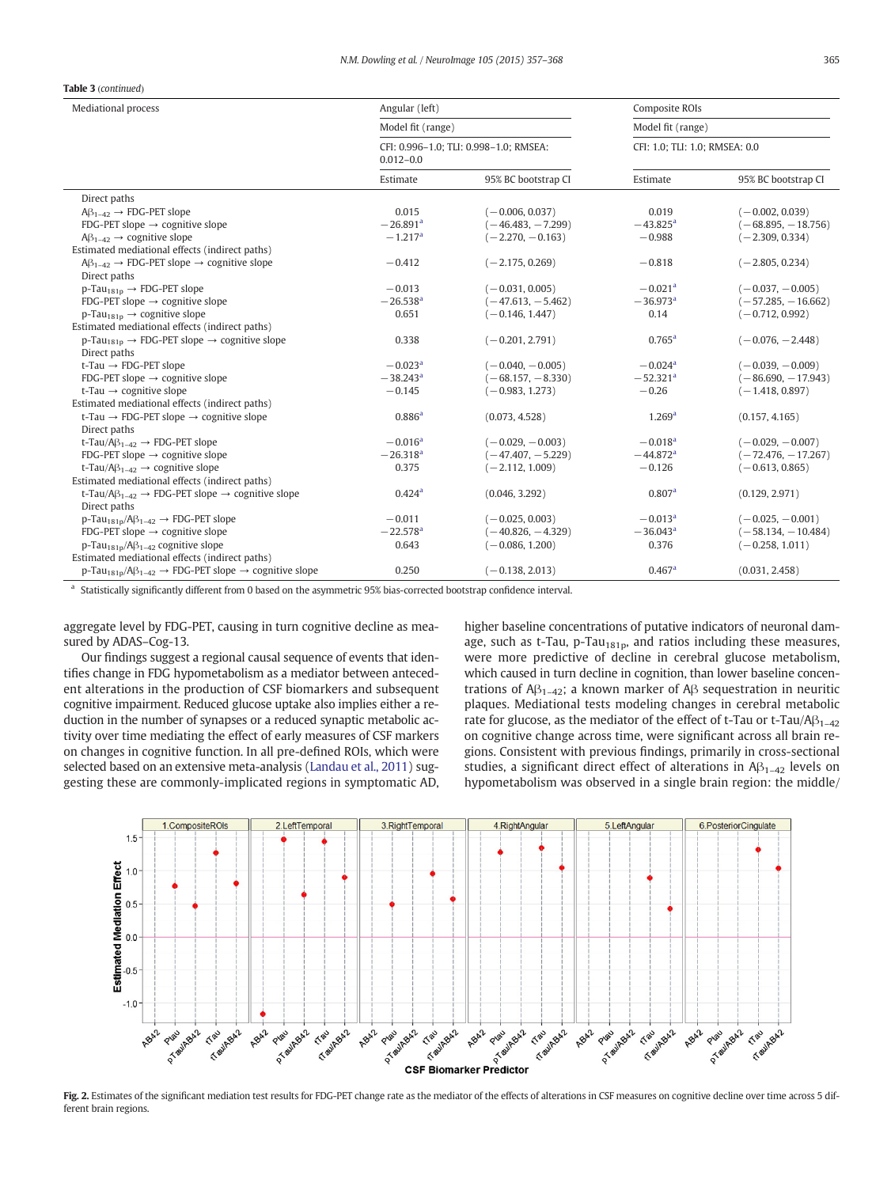#### <span id="page-8-0"></span>Table 3 (continued)

| Model fit (range)<br>Model fit (range)<br>CFI: 0.996-1.0; TLI: 0.998-1.0; RMSEA:<br>CFI: 1.0; TLI: 1.0; RMSEA: 0.0<br>$0.012 - 0.0$                                                   |                      |  |
|---------------------------------------------------------------------------------------------------------------------------------------------------------------------------------------|----------------------|--|
|                                                                                                                                                                                       |                      |  |
|                                                                                                                                                                                       |                      |  |
| 95% BC bootstrap CI<br>95% BC bootstrap CI<br>Estimate<br>Estimate                                                                                                                    |                      |  |
| Direct paths                                                                                                                                                                          |                      |  |
| $AB_{1-42} \rightarrow FDG-PET slope$<br>0.015<br>$(-0.006, 0.037)$<br>0.019<br>$(-0.002, 0.039)$                                                                                     |                      |  |
| FDG-PET slope $\rightarrow$ cognitive slope<br>$-26.891$ <sup>a</sup><br>$(-46, 483, -7, 299)$<br>$-43.825$ <sup>a</sup><br>$(-68.895, -18.756)$                                      |                      |  |
| $AB_{1-42} \rightarrow$ cognitive slope<br>$-1.217$ <sup>a</sup><br>$(-2.270, -0.163)$<br>$(-2.309, 0.334)$<br>$-0.988$                                                               |                      |  |
| Estimated mediational effects (indirect paths)                                                                                                                                        |                      |  |
| $AB_{1-42} \rightarrow FDG-PET slope \rightarrow cognitive slope$<br>$-0.412$<br>$-0.818$<br>$(-2.175, 0.269)$<br>$(-2.805, 0.234)$                                                   |                      |  |
| Direct paths                                                                                                                                                                          |                      |  |
| $-0.021$ <sup>a</sup><br>$p$ -Tau <sub>181p</sub> $\rightarrow$ FDG-PET slope<br>$-0.013$<br>$(-0.031, 0.005)$<br>$(-0.037, -0.005)$                                                  |                      |  |
| FDG-PET slope $\rightarrow$ cognitive slope<br>$-26.538$ <sup>a</sup><br>$(-47.613, -5.462)$<br>$-36.973$ <sup>a</sup>                                                                | $(-57.285, -16.662)$ |  |
| $p$ -Tau <sub>181p</sub> $\rightarrow$ cognitive slope<br>0.651<br>$(-0.146, 1.447)$<br>0.14<br>$(-0.712, 0.992)$                                                                     |                      |  |
| Estimated mediational effects (indirect paths)                                                                                                                                        |                      |  |
| $p$ -Tau <sub>181p</sub> $\rightarrow$ FDG-PET slope $\rightarrow$ cognitive slope<br>0.338<br>$0.765^{\rm a}$<br>$(-0.201, 2.791)$<br>$(-0.076, -2.448)$                             |                      |  |
| Direct paths                                                                                                                                                                          |                      |  |
| $-0.023$ <sup>a</sup><br>$(-0.040, -0.005)$<br>$-0.024$ <sup>a</sup><br>$(-0.039, -0.009)$<br>t-Tau $\rightarrow$ FDG-PET slope                                                       |                      |  |
| FDG-PET slope $\rightarrow$ cognitive slope<br>$-38.243$ <sup>a</sup><br>$(-68.157, -8.330)$<br>$-52.321$ <sup>a</sup><br>$(-86,690, -17,943)$                                        |                      |  |
| t-Tau $\rightarrow$ cognitive slope<br>$-0.145$<br>$(-0.983, 1.273)$<br>$-0.26$<br>$(-1.418, 0.897)$                                                                                  |                      |  |
| Estimated mediational effects (indirect paths)                                                                                                                                        |                      |  |
| t-Tau $\rightarrow$ FDG-PET slope $\rightarrow$ cognitive slope<br>0.886 <sup>a</sup><br>1.269 <sup>a</sup><br>(0.073, 4.528)<br>(0.157, 4.165)                                       |                      |  |
| Direct paths                                                                                                                                                                          |                      |  |
| t-Tau/A $\beta_{1-42} \rightarrow$ FDG-PET slope<br>$-0.016$ <sup>a</sup><br>$(-0.029, -0.003)$<br>$-0.018$ <sup>a</sup><br>$(-0.029, -0.007)$                                        |                      |  |
| FDG-PET slope $\rightarrow$ cognitive slope<br>$-26.318$ <sup>a</sup><br>$(-47.407, -5.229)$<br>$-44.872$ <sup>a</sup><br>$(-72.476, -17.267)$                                        |                      |  |
| t-Tau/A $\beta_{1-42} \rightarrow$ cognitive slope<br>0.375<br>$(-2.112, 1.009)$<br>$-0.126$<br>$(-0.613, 0.865)$                                                                     |                      |  |
| Estimated mediational effects (indirect paths)                                                                                                                                        |                      |  |
| $0.424$ <sup>a</sup><br>0.807 <sup>a</sup><br>t-Tau/A $\beta_{1-42} \rightarrow$ FDG-PET slope $\rightarrow$ cognitive slope<br>(0.046, 3.292)<br>(0.129, 2.971)                      |                      |  |
| Direct paths                                                                                                                                                                          |                      |  |
| $-0.011$<br>$p$ -Tau <sub>181p</sub> /A $\beta$ <sub>1-42</sub> $\rightarrow$ FDG-PET slope<br>$(-0.025, 0.003)$<br>$-0.013$ <sup>a</sup><br>$(-0.025, -0.001)$                       |                      |  |
| FDG-PET slope $\rightarrow$ cognitive slope<br>$-22.578$ <sup>a</sup><br>$(-40.826, -4.329)$<br>$-36.043$ <sup>a</sup><br>$(-58.134, -10.484)$                                        |                      |  |
| $p$ -Tau <sub>181p</sub> /A $\beta$ <sub>1-42</sub> cognitive slope<br>0.643<br>$(-0.086, 1.200)$<br>0.376<br>$(-0.258, 1.011)$                                                       |                      |  |
| Estimated mediational effects (indirect paths)                                                                                                                                        |                      |  |
| $p$ -Tau <sub>181p</sub> /A $\beta$ <sub>1-42</sub> $\rightarrow$ FDG-PET slope $\rightarrow$ cognitive slope<br>0.250<br>$(-0.138, 2.013)$<br>$0.467$ <sup>a</sup><br>(0.031, 2.458) |                      |  |

<sup>a</sup> Statistically significantly different from 0 based on the asymmetric 95% bias-corrected bootstrap confidence interval.

aggregate level by FDG-PET, causing in turn cognitive decline as measured by ADAS–Cog-13.

Our findings suggest a regional causal sequence of events that identifies change in FDG hypometabolism as a mediator between antecedent alterations in the production of CSF biomarkers and subsequent cognitive impairment. Reduced glucose uptake also implies either a reduction in the number of synapses or a reduced synaptic metabolic activity over time mediating the effect of early measures of CSF markers on changes in cognitive function. In all pre-defined ROIs, which were selected based on an extensive meta-analysis [\(Landau et al., 2011\)](#page-10-0) suggesting these are commonly-implicated regions in symptomatic AD, higher baseline concentrations of putative indicators of neuronal damage, such as t-Tau, p-Tau<sub>181p</sub>, and ratios including these measures, were more predictive of decline in cerebral glucose metabolism, which caused in turn decline in cognition, than lower baseline concentrations of  $\mathsf{AB}_{1-42}$ ; a known marker of  $\mathsf{AB}$  sequestration in neuritic plaques. Mediational tests modeling changes in cerebral metabolic rate for glucose, as the mediator of the effect of t-Tau or t-Tau/A $\beta_{1-42}$ on cognitive change across time, were significant across all brain regions. Consistent with previous findings, primarily in cross-sectional studies, a significant direct effect of alterations in  $AB_{1-42}$  levels on hypometabolism was observed in a single brain region: the middle/



Fig. 2. Estimates of the significant mediation test results for FDG-PET change rate as the mediator of the effects of alterations in CSF measures on cognitive decline over time across 5 different brain regions.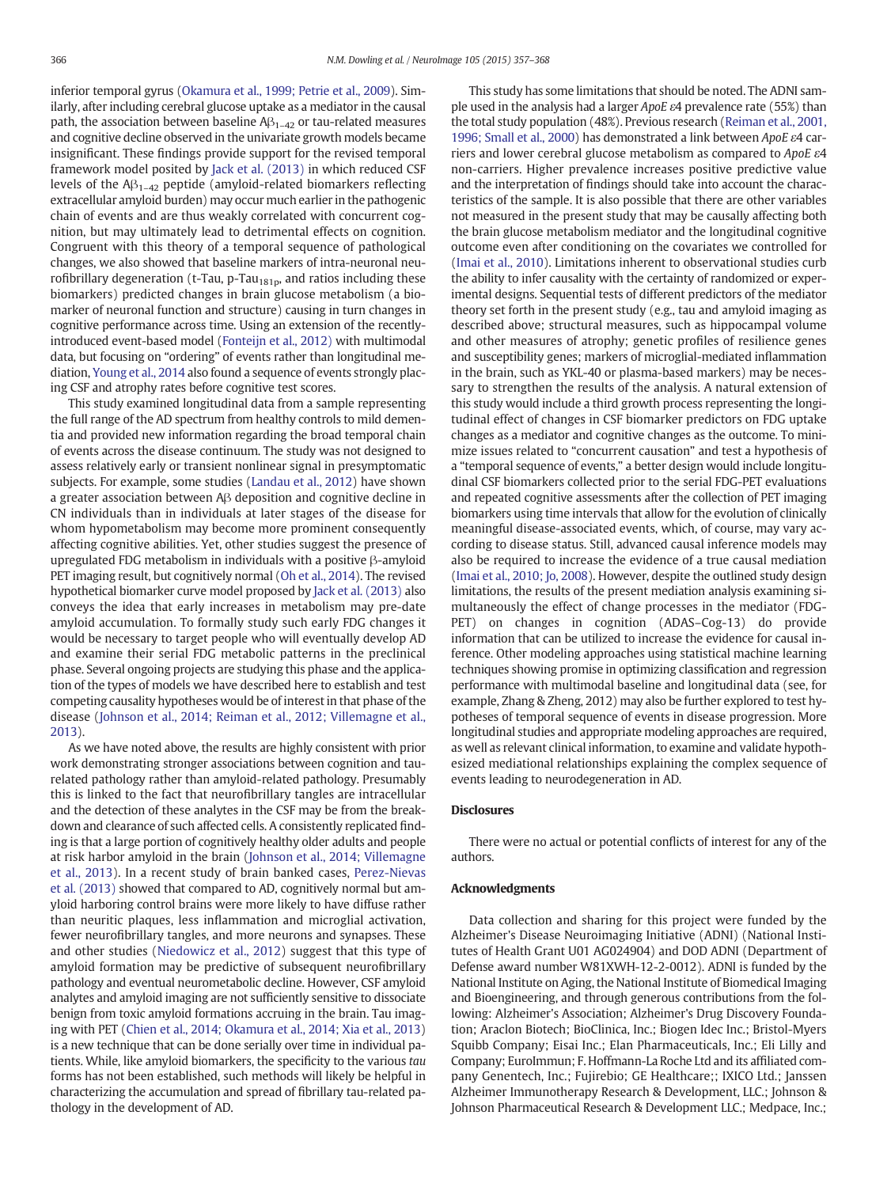inferior temporal gyrus ([Okamura et al., 1999; Petrie et al., 2009\)](#page-10-0). Similarly, after including cerebral glucose uptake as a mediator in the causal path, the association between baseline  $AB_{1-42}$  or tau-related measures and cognitive decline observed in the univariate growth models became insignificant. These findings provide support for the revised temporal framework model posited by [Jack et al. \(2013\)](#page-10-0) in which reduced CSF levels of the  $AB_{1-42}$  peptide (amyloid-related biomarkers reflecting extracellular amyloid burden) may occur much earlier in the pathogenic chain of events and are thus weakly correlated with concurrent cognition, but may ultimately lead to detrimental effects on cognition. Congruent with this theory of a temporal sequence of pathological changes, we also showed that baseline markers of intra-neuronal neurofibrillary degeneration (t-Tau, p-Tau $_{181p}$ , and ratios including these biomarkers) predicted changes in brain glucose metabolism (a biomarker of neuronal function and structure) causing in turn changes in cognitive performance across time. Using an extension of the recentlyintroduced event-based model ([Fonteijn et al., 2012\)](#page-10-0) with multimodal data, but focusing on "ordering" of events rather than longitudinal mediation, [Young et al., 2014](#page-11-0) also found a sequence of events strongly placing CSF and atrophy rates before cognitive test scores.

This study examined longitudinal data from a sample representing the full range of the AD spectrum from healthy controls to mild dementia and provided new information regarding the broad temporal chain of events across the disease continuum. The study was not designed to assess relatively early or transient nonlinear signal in presymptomatic subjects. For example, some studies [\(Landau et al., 2012\)](#page-10-0) have shown a greater association between Aβ deposition and cognitive decline in CN individuals than in individuals at later stages of the disease for whom hypometabolism may become more prominent consequently affecting cognitive abilities. Yet, other studies suggest the presence of upregulated FDG metabolism in individuals with a positive β-amyloid PET imaging result, but cognitively normal ([Oh et al., 2014](#page-10-0)). The revised hypothetical biomarker curve model proposed by [Jack et al. \(2013\)](#page-10-0) also conveys the idea that early increases in metabolism may pre-date amyloid accumulation. To formally study such early FDG changes it would be necessary to target people who will eventually develop AD and examine their serial FDG metabolic patterns in the preclinical phase. Several ongoing projects are studying this phase and the application of the types of models we have described here to establish and test competing causality hypotheses would be of interest in that phase of the disease ([Johnson et al., 2014; Reiman et al., 2012; Villemagne et al.,](#page-10-0) [2013\)](#page-10-0).

As we have noted above, the results are highly consistent with prior work demonstrating stronger associations between cognition and taurelated pathology rather than amyloid-related pathology. Presumably this is linked to the fact that neurofibrillary tangles are intracellular and the detection of these analytes in the CSF may be from the breakdown and clearance of such affected cells. A consistently replicated finding is that a large portion of cognitively healthy older adults and people at risk harbor amyloid in the brain ([Johnson et al., 2014; Villemagne](#page-10-0) [et al., 2013](#page-10-0)). In a recent study of brain banked cases, [Perez-Nievas](#page-11-0) [et al. \(2013\)](#page-11-0) showed that compared to AD, cognitively normal but amyloid harboring control brains were more likely to have diffuse rather than neuritic plaques, less inflammation and microglial activation, fewer neurofibrillary tangles, and more neurons and synapses. These and other studies [\(Niedowicz et al., 2012\)](#page-10-0) suggest that this type of amyloid formation may be predictive of subsequent neurofibrillary pathology and eventual neurometabolic decline. However, CSF amyloid analytes and amyloid imaging are not sufficiently sensitive to dissociate benign from toxic amyloid formations accruing in the brain. Tau imaging with PET [\(Chien et al., 2014; Okamura et al., 2014; Xia et al., 2013](#page-10-0)) is a new technique that can be done serially over time in individual patients. While, like amyloid biomarkers, the specificity to the various tau forms has not been established, such methods will likely be helpful in characterizing the accumulation and spread of fibrillary tau-related pathology in the development of AD.

This study has some limitations that should be noted. The ADNI sample used in the analysis had a larger ApoE ε4 prevalence rate (55%) than the total study population (48%). Previous research ([Reiman et al., 2001,](#page-11-0) [1996; Small et al., 2000](#page-11-0)) has demonstrated a link between ApoE ε4 carriers and lower cerebral glucose metabolism as compared to ApoE ε4 non-carriers. Higher prevalence increases positive predictive value and the interpretation of findings should take into account the characteristics of the sample. It is also possible that there are other variables not measured in the present study that may be causally affecting both the brain glucose metabolism mediator and the longitudinal cognitive outcome even after conditioning on the covariates we controlled for [\(Imai et al., 2010](#page-10-0)). Limitations inherent to observational studies curb the ability to infer causality with the certainty of randomized or experimental designs. Sequential tests of different predictors of the mediator theory set forth in the present study (e.g., tau and amyloid imaging as described above; structural measures, such as hippocampal volume and other measures of atrophy; genetic profiles of resilience genes and susceptibility genes; markers of microglial-mediated inflammation in the brain, such as YKL-40 or plasma-based markers) may be necessary to strengthen the results of the analysis. A natural extension of this study would include a third growth process representing the longitudinal effect of changes in CSF biomarker predictors on FDG uptake changes as a mediator and cognitive changes as the outcome. To minimize issues related to "concurrent causation" and test a hypothesis of a "temporal sequence of events," a better design would include longitudinal CSF biomarkers collected prior to the serial FDG-PET evaluations and repeated cognitive assessments after the collection of PET imaging biomarkers using time intervals that allow for the evolution of clinically meaningful disease-associated events, which, of course, may vary according to disease status. Still, advanced causal inference models may also be required to increase the evidence of a true causal mediation [\(Imai et al., 2010; Jo, 2008](#page-10-0)). However, despite the outlined study design limitations, the results of the present mediation analysis examining simultaneously the effect of change processes in the mediator (FDG-PET) on changes in cognition (ADAS–Cog-13) do provide information that can be utilized to increase the evidence for causal inference. Other modeling approaches using statistical machine learning techniques showing promise in optimizing classification and regression performance with multimodal baseline and longitudinal data (see, for example, Zhang & Zheng, 2012) may also be further explored to test hypotheses of temporal sequence of events in disease progression. More longitudinal studies and appropriate modeling approaches are required, as well as relevant clinical information, to examine and validate hypothesized mediational relationships explaining the complex sequence of events leading to neurodegeneration in AD.

#### **Disclosures**

There were no actual or potential conflicts of interest for any of the authors.

# Acknowledgments

Data collection and sharing for this project were funded by the Alzheimer's Disease Neuroimaging Initiative (ADNI) (National Institutes of Health Grant U01 AG024904) and DOD ADNI (Department of Defense award number W81XWH-12-2-0012). ADNI is funded by the National Institute on Aging, the National Institute of Biomedical Imaging and Bioengineering, and through generous contributions from the following: Alzheimer's Association; Alzheimer's Drug Discovery Foundation; Araclon Biotech; BioClinica, Inc.; Biogen Idec Inc.; Bristol-Myers Squibb Company; Eisai Inc.; Elan Pharmaceuticals, Inc.; Eli Lilly and Company; EuroImmun; F. Hoffmann-La Roche Ltd and its affiliated company Genentech, Inc.; Fujirebio; GE Healthcare;; IXICO Ltd.; Janssen Alzheimer Immunotherapy Research & Development, LLC.; Johnson & Johnson Pharmaceutical Research & Development LLC.; Medpace, Inc.;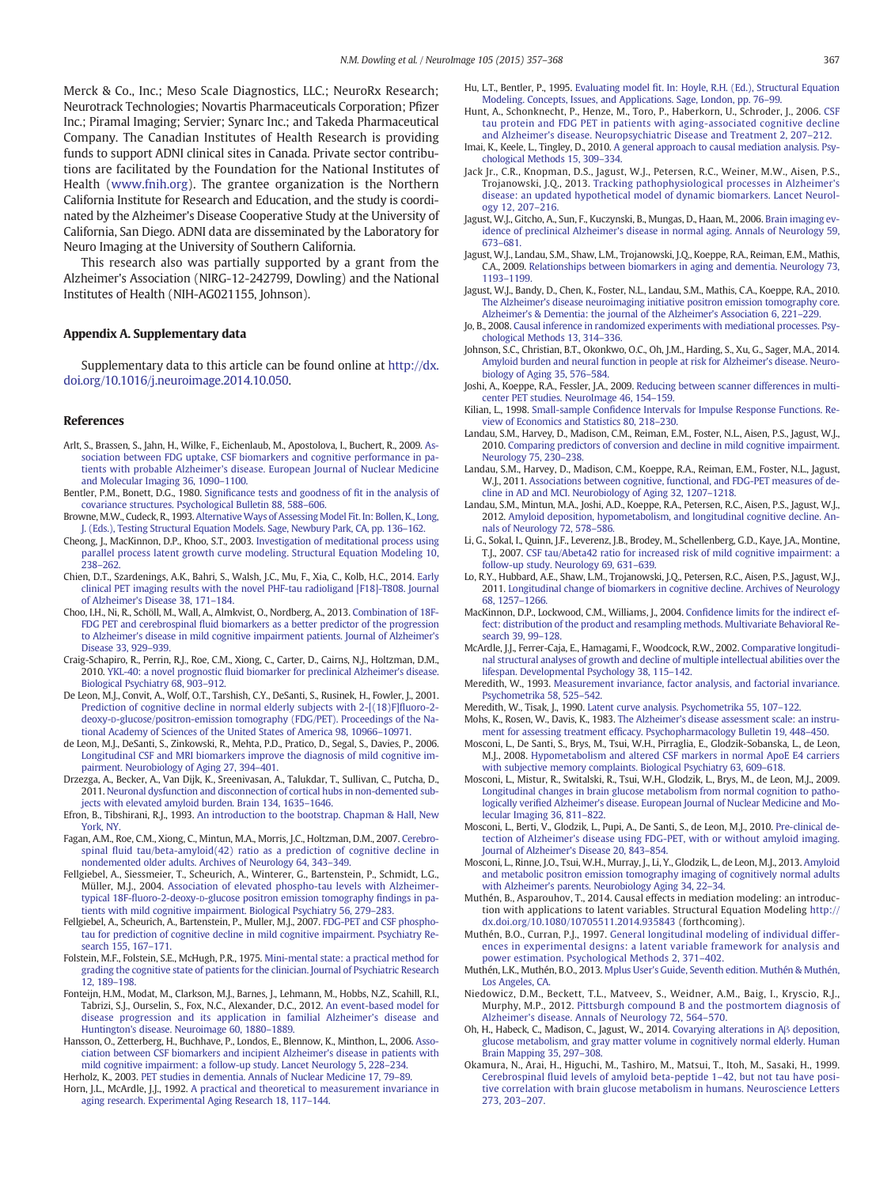<span id="page-10-0"></span>Merck & Co., Inc.; Meso Scale Diagnostics, LLC.; NeuroRx Research; Neurotrack Technologies; Novartis Pharmaceuticals Corporation; Pfizer Inc.; Piramal Imaging; Servier; Synarc Inc.; and Takeda Pharmaceutical Company. The Canadian Institutes of Health Research is providing funds to support ADNI clinical sites in Canada. Private sector contributions are facilitated by the Foundation for the National Institutes of Health [\(www.fnih.org\)](http://www.fnih.org). The grantee organization is the Northern California Institute for Research and Education, and the study is coordinated by the Alzheimer's Disease Cooperative Study at the University of California, San Diego. ADNI data are disseminated by the Laboratory for Neuro Imaging at the University of Southern California.

This research also was partially supported by a grant from the Alzheimer's Association (NIRG-12-242799, Dowling) and the National Institutes of Health (NIH-AG021155, Johnson).

# Appendix A. Supplementary data

Supplementary data to this article can be found online at [http://dx.](http://dx.doi.org/10.1016/j.neuroimage.2014.10.050) [doi.org/10.1016/j.neuroimage.2014.10.050.](http://dx.doi.org/10.1016/j.neuroimage.2014.10.050)

#### References

- Arlt, S., Brassen, S., Jahn, H., Wilke, F., Eichenlaub, M., Apostolova, I., Buchert, R., 2009. [As](http://refhub.elsevier.com/S1053-8119(14)00876-3/rf0010)[sociation between FDG uptake, CSF biomarkers and cognitive performance in pa](http://refhub.elsevier.com/S1053-8119(14)00876-3/rf0010)[tients with probable Alzheimer's disease. European Journal of Nuclear Medicine](http://refhub.elsevier.com/S1053-8119(14)00876-3/rf0010) [and Molecular Imaging 36, 1090](http://refhub.elsevier.com/S1053-8119(14)00876-3/rf0010)–1100.
- Bentler, P.M., Bonett, D.G., 1980. Signifi[cance tests and goodness of](http://refhub.elsevier.com/S1053-8119(14)00876-3/rf0015) fit in the analysis of [covariance structures. Psychological Bulletin 88, 588](http://refhub.elsevier.com/S1053-8119(14)00876-3/rf0015)–606.
- Browne, M.W., Cudeck, R., 1993. Alternative Ways of Assessing Model Fit. In: Bollen, K., Long, [J. \(Eds.\), Testing Structural Equation Models. Sage, Newbury Park, CA, pp. 136](http://refhub.elsevier.com/S1053-8119(14)00876-3/rf0020)–162.
- Cheong, J., MacKinnon, D.P., Khoo, S.T., 2003. [Investigation of meditational process using](http://refhub.elsevier.com/S1053-8119(14)00876-3/rf0030) [parallel process latent growth curve modeling. Structural Equation Modeling 10,](http://refhub.elsevier.com/S1053-8119(14)00876-3/rf0030) [238](http://refhub.elsevier.com/S1053-8119(14)00876-3/rf0030)–262.
- Chien, D.T., Szardenings, A.K., Bahri, S., Walsh, J.C., Mu, F., Xia, C., Kolb, H.C., 2014. [Early](http://refhub.elsevier.com/S1053-8119(14)00876-3/rf0035) [clinical PET imaging results with the novel PHF-tau radioligand \[F18\]-T808. Journal](http://refhub.elsevier.com/S1053-8119(14)00876-3/rf0035) [of Alzheimer's Disease 38, 171](http://refhub.elsevier.com/S1053-8119(14)00876-3/rf0035)–184.
- Choo, I.H., Ni, R., Schöll, M., Wall, A., Almkvist, O., Nordberg, A., 2013. [Combination of 18F-](http://refhub.elsevier.com/S1053-8119(14)00876-3/rf0040)FDG PET and cerebrospinal fl[uid biomarkers as a better predictor of the progression](http://refhub.elsevier.com/S1053-8119(14)00876-3/rf0040) [to Alzheimer's disease in mild cognitive impairment patients. Journal of Alzheimer's](http://refhub.elsevier.com/S1053-8119(14)00876-3/rf0040) [Disease 33, 929](http://refhub.elsevier.com/S1053-8119(14)00876-3/rf0040)–939.
- Craig-Schapiro, R., Perrin, R.J., Roe, C.M., Xiong, C., Carter, D., Cairns, N.J., Holtzman, D.M., 2010. YKL-40: a novel prognostic fl[uid biomarker for preclinical Alzheimer's disease.](http://refhub.elsevier.com/S1053-8119(14)00876-3/rf0045) [Biological Psychiatry 68, 903](http://refhub.elsevier.com/S1053-8119(14)00876-3/rf0045)–912.
- De Leon, M.J., Convit, A., Wolf, O.T., Tarshish, C.Y., DeSanti, S., Rusinek, H., Fowler, J., 2001. [Prediction of cognitive decline in normal elderly subjects with 2-\[\(18\)F\]](http://refhub.elsevier.com/S1053-8119(14)00876-3/rf0355)fluoro-2 [deoxy-D-glucose/positron-emission tomography \(FDG/PET\). Proceedings of the Na](http://refhub.elsevier.com/S1053-8119(14)00876-3/rf0355)[tional Academy of Sciences of the United States of America 98, 10966](http://refhub.elsevier.com/S1053-8119(14)00876-3/rf0355)–10971.
- de Leon, M.J., DeSanti, S., Zinkowski, R., Mehta, P.D., Pratico, D., Segal, S., Davies, P., 2006. [Longitudinal CSF and MRI biomarkers improve the diagnosis of mild cognitive im](http://refhub.elsevier.com/S1053-8119(14)00876-3/rf0050)[pairment. Neurobiology of Aging 27, 394](http://refhub.elsevier.com/S1053-8119(14)00876-3/rf0050)–401.
- Drzezga, A., Becker, A., Van Dijk, K., Sreenivasan, A., Talukdar, T., Sullivan, C., Putcha, D., 2011. [Neuronal dysfunction and disconnection of cortical hubs in non-demented sub](http://refhub.elsevier.com/S1053-8119(14)00876-3/rf0055)[jects with elevated amyloid burden. Brain 134, 1635](http://refhub.elsevier.com/S1053-8119(14)00876-3/rf0055)–1646.
- Efron, B., Tibshirani, R.J., 1993. [An introduction to the bootstrap. Chapman & Hall, New](http://refhub.elsevier.com/S1053-8119(14)00876-3/rf9000) [York, NY](http://refhub.elsevier.com/S1053-8119(14)00876-3/rf9000).
- Fagan, A.M., Roe, C.M., Xiong, C., Mintun, M.A., Morris, J.C., Holtzman, D.M., 2007. [Cerebro](http://refhub.elsevier.com/S1053-8119(14)00876-3/rf0065)spinal fl[uid tau/beta-amyloid\(42\) ratio as a prediction of cognitive decline in](http://refhub.elsevier.com/S1053-8119(14)00876-3/rf0065) [nondemented older adults. Archives of Neurology 64, 343](http://refhub.elsevier.com/S1053-8119(14)00876-3/rf0065)–349.
- Fellgiebel, A., Siessmeier, T., Scheurich, A., Winterer, G., Bartenstein, P., Schmidt, L.G., Müller, M.J., 2004. [Association of elevated phospho-tau levels with Alzheimer](http://refhub.elsevier.com/S1053-8119(14)00876-3/rf0070)typical 18F-fl[uoro-2-deoxy-D-glucose positron emission tomography](http://refhub.elsevier.com/S1053-8119(14)00876-3/rf0070) findings in pa[tients with mild cognitive impairment. Biological Psychiatry 56, 279](http://refhub.elsevier.com/S1053-8119(14)00876-3/rf0070)–283.
- Fellgiebel, A., Scheurich, A., Bartenstein, P., Muller, M.J., 2007. [FDG-PET and CSF phospho](http://refhub.elsevier.com/S1053-8119(14)00876-3/rf0075)[tau for prediction of cognitive decline in mild cognitive impairment. Psychiatry Re](http://refhub.elsevier.com/S1053-8119(14)00876-3/rf0075)[search 155, 167](http://refhub.elsevier.com/S1053-8119(14)00876-3/rf0075)–171.
- Folstein, M.F., Folstein, S.E., McHugh, P.R., 1975. [Mini-mental state: a practical method for](http://refhub.elsevier.com/S1053-8119(14)00876-3/rf0080) [grading the cognitive state of patients for the clinician. Journal of Psychiatric Research](http://refhub.elsevier.com/S1053-8119(14)00876-3/rf0080) [12, 189](http://refhub.elsevier.com/S1053-8119(14)00876-3/rf0080)–198.
- Fonteijn, H.M., Modat, M., Clarkson, M.J., Barnes, J., Lehmann, M., Hobbs, N.Z., Scahill, R.I., Tabrizi, S.J., Ourselin, S., Fox, N.C., Alexander, D.C., 2012. [An event-based model for](http://refhub.elsevier.com/S1053-8119(14)00876-3/rf8000) [disease progression and its application in familial Alzheimer](http://refhub.elsevier.com/S1053-8119(14)00876-3/rf8000)'s disease and [Huntington's disease. Neuroimage 60, 1880](http://refhub.elsevier.com/S1053-8119(14)00876-3/rf8000)–1889.
- Hansson, O., Zetterberg, H., Buchhave, P., Londos, E., Blennow, K., Minthon, L., 2006. [Asso](http://refhub.elsevier.com/S1053-8119(14)00876-3/rf0085)[ciation between CSF biomarkers and incipient Alzheimer's disease in patients with](http://refhub.elsevier.com/S1053-8119(14)00876-3/rf0085) [mild cognitive impairment: a follow-up study. Lancet Neurology 5, 228](http://refhub.elsevier.com/S1053-8119(14)00876-3/rf0085)–234.
- Herholz, K., 2003. [PET studies in dementia. Annals of Nuclear Medicine 17, 79](http://refhub.elsevier.com/S1053-8119(14)00876-3/rf0090)–89. Horn, J.L., McArdle, J.J., 1992. [A practical and theoretical to measurement invariance in](http://refhub.elsevier.com/S1053-8119(14)00876-3/rf0095)
	- [aging research. Experimental Aging Research 18, 117](http://refhub.elsevier.com/S1053-8119(14)00876-3/rf0095)–144.
- Hu, L.T., Bentler, P., 1995. Evaluating model fi[t. In: Hoyle, R.H. \(Ed.\), Structural Equation](http://refhub.elsevier.com/S1053-8119(14)00876-3/rf3500) [Modeling. Concepts, Issues, and Applications. Sage, London, pp. 76](http://refhub.elsevier.com/S1053-8119(14)00876-3/rf3500)–99.
- Hunt, A., Schonknecht, P., Henze, M., Toro, P., Haberkorn, U., Schroder, J., 2006. [CSF](http://refhub.elsevier.com/S1053-8119(14)00876-3/rf0100) [tau protein and FDG PET in patients with aging-associated cognitive decline](http://refhub.elsevier.com/S1053-8119(14)00876-3/rf0100) [and Alzheimer's disease. Neuropsychiatric Disease and Treatment 2, 207](http://refhub.elsevier.com/S1053-8119(14)00876-3/rf0100)–212.
- Imai, K., Keele, L., Tingley, D., 2010. [A general approach to causal mediation analysis. Psy](http://refhub.elsevier.com/S1053-8119(14)00876-3/rf0105)[chological Methods 15, 309](http://refhub.elsevier.com/S1053-8119(14)00876-3/rf0105)–334.
- Jack Jr., C.R., Knopman, D.S., Jagust, W.J., Petersen, R.C., Weiner, M.W., Aisen, P.S., Trojanowski, J.Q., 2013. [Tracking pathophysiological processes in Alzheimer's](http://refhub.elsevier.com/S1053-8119(14)00876-3/rf0110) [disease: an updated hypothetical model of dynamic biomarkers. Lancet Neurol](http://refhub.elsevier.com/S1053-8119(14)00876-3/rf0110)[ogy 12, 207](http://refhub.elsevier.com/S1053-8119(14)00876-3/rf0110)–216.
- Jagust, W.J., Gitcho, A., Sun, F., Kuczynski, B., Mungas, D., Haan, M., 2006. [Brain imaging ev](http://refhub.elsevier.com/S1053-8119(14)00876-3/rf0115)[idence of preclinical Alzheimer's disease in normal aging. Annals of Neurology 59,](http://refhub.elsevier.com/S1053-8119(14)00876-3/rf0115) [673](http://refhub.elsevier.com/S1053-8119(14)00876-3/rf0115)–681.
- Jagust, W.J., Landau, S.M., Shaw, L.M., Trojanowski, J.Q., Koeppe, R.A., Reiman, E.M., Mathis, C.A., 2009. [Relationships between biomarkers in aging and dementia. Neurology 73,](http://refhub.elsevier.com/S1053-8119(14)00876-3/rf0120) [1193](http://refhub.elsevier.com/S1053-8119(14)00876-3/rf0120)–1199.
- Jagust, W.J., Bandy, D., Chen, K., Foster, N.L., Landau, S.M., Mathis, C.A., Koeppe, R.A., 2010. [The Alzheimer's disease neuroimaging initiative positron emission tomography core.](http://refhub.elsevier.com/S1053-8119(14)00876-3/rf0125) [Alzheimer's & Dementia: the journal of the Alzheimer's Association 6, 221](http://refhub.elsevier.com/S1053-8119(14)00876-3/rf0125)–229.
- Jo, B., 2008. [Causal inference in randomized experiments with mediational processes. Psy](http://refhub.elsevier.com/S1053-8119(14)00876-3/rf0130)[chological Methods 13, 314](http://refhub.elsevier.com/S1053-8119(14)00876-3/rf0130)–336.
- Johnson, S.C., Christian, B.T., Okonkwo, O.C., Oh, J.M., Harding, S., Xu, G., Sager, M.A., 2014. [Amyloid burden and neural function in people at risk for Alzheimer's disease. Neuro](http://refhub.elsevier.com/S1053-8119(14)00876-3/rf0135)[biology of Aging 35, 576](http://refhub.elsevier.com/S1053-8119(14)00876-3/rf0135)–584.
- Joshi, A., Koeppe, R.A., Fessler, J.A., 2009. [Reducing between scanner differences in multi](http://refhub.elsevier.com/S1053-8119(14)00876-3/rf0140)[center PET studies. NeuroImage 46, 154](http://refhub.elsevier.com/S1053-8119(14)00876-3/rf0140)–159.
- Kilian, L., 1998. Small-sample Confi[dence Intervals for Impulse Response Functions. Re](http://refhub.elsevier.com/S1053-8119(14)00876-3/rf2500)[view of Economics and Statistics 80, 218](http://refhub.elsevier.com/S1053-8119(14)00876-3/rf2500)–230.
- Landau, S.M., Harvey, D., Madison, C.M., Reiman, E.M., Foster, N.L., Aisen, P.S., Jagust, W.J., 2010. [Comparing predictors of conversion and decline in mild cognitive impairment.](http://refhub.elsevier.com/S1053-8119(14)00876-3/rf0145) [Neurology 75, 230](http://refhub.elsevier.com/S1053-8119(14)00876-3/rf0145)–238.
- Landau, S.M., Harvey, D., Madison, C.M., Koeppe, R.A., Reiman, E.M., Foster, N.L., Jagust, W.J., 2011. [Associations between cognitive, functional, and FDG-PET measures of de](http://refhub.elsevier.com/S1053-8119(14)00876-3/rf0150)[cline in AD and MCI. Neurobiology of Aging 32, 1207](http://refhub.elsevier.com/S1053-8119(14)00876-3/rf0150)–1218.
- Landau, S.M., Mintun, M.A., Joshi, A.D., Koeppe, R.A., Petersen, R.C., Aisen, P.S., Jagust, W.J., 2012. [Amyloid deposition, hypometabolism, and longitudinal cognitive decline. An](http://refhub.elsevier.com/S1053-8119(14)00876-3/rf0155)[nals of Neurology 72, 578](http://refhub.elsevier.com/S1053-8119(14)00876-3/rf0155)–586.
- Li, G., Sokal, I., Quinn, J.F., Leverenz, J.B., Brodey, M., Schellenberg, G.D., Kaye, J.A., Montine, T.J., 2007. [CSF tau/Abeta42 ratio for increased risk of mild cognitive impairment: a](http://refhub.elsevier.com/S1053-8119(14)00876-3/rf0160) [follow-up study. Neurology 69, 631](http://refhub.elsevier.com/S1053-8119(14)00876-3/rf0160)–639.
- Lo, R.Y., Hubbard, A.E., Shaw, L.M., Trojanowski, J.Q., Petersen, R.C., Aisen, P.S., Jagust, W.J., 2011. [Longitudinal change of biomarkers in cognitive decline. Archives of Neurology](http://refhub.elsevier.com/S1053-8119(14)00876-3/rf0165) [68, 1257](http://refhub.elsevier.com/S1053-8119(14)00876-3/rf0165)–1266.
- MacKinnon, D.P., Lockwood, C.M., Williams, J., 2004. Confi[dence limits for the indirect ef](http://refhub.elsevier.com/S1053-8119(14)00876-3/rf0170)[fect: distribution of the product and resampling methods. Multivariate Behavioral Re](http://refhub.elsevier.com/S1053-8119(14)00876-3/rf0170)[search 39, 99](http://refhub.elsevier.com/S1053-8119(14)00876-3/rf0170)–128.
- McArdle, J.J., Ferrer-Caja, E., Hamagami, F., Woodcock, R.W., 2002. [Comparative longitudi](http://refhub.elsevier.com/S1053-8119(14)00876-3/rf0180)[nal structural analyses of growth and decline of multiple intellectual abilities over the](http://refhub.elsevier.com/S1053-8119(14)00876-3/rf0180) [lifespan. Developmental Psychology 38, 115](http://refhub.elsevier.com/S1053-8119(14)00876-3/rf0180)–142.
- Meredith, W., 1993. [Measurement invariance, factor analysis, and factorial invariance.](http://refhub.elsevier.com/S1053-8119(14)00876-3/rf0185) [Psychometrika 58, 525](http://refhub.elsevier.com/S1053-8119(14)00876-3/rf0185)–542.
- Meredith, W., Tisak, J., 1990. [Latent curve analysis. Psychometrika 55, 107](http://refhub.elsevier.com/S1053-8119(14)00876-3/rf4500)-122.
- Mohs, K., Rosen, W., Davis, K., 1983. [The Alzheimer's disease assessment scale: an instru](http://refhub.elsevier.com/S1053-8119(14)00876-3/rf0190)ment for assessing treatment effi[cacy. Psychopharmacology Bulletin 19, 448](http://refhub.elsevier.com/S1053-8119(14)00876-3/rf0190)–450.
- Mosconi, L., De Santi, S., Brys, M., Tsui, W.H., Pirraglia, E., Glodzik-Sobanska, L., de Leon, M.J., 2008. [Hypometabolism and altered CSF markers in normal ApoE E4 carriers](http://refhub.elsevier.com/S1053-8119(14)00876-3/rf0195) [with subjective memory complaints. Biological Psychiatry 63, 609](http://refhub.elsevier.com/S1053-8119(14)00876-3/rf0195)–618.
- Mosconi, L., Mistur, R., Switalski, R., Tsui, W.H., Glodzik, L., Brys, M., de Leon, M.J., 2009. [Longitudinal changes in brain glucose metabolism from normal cognition to patho](http://refhub.elsevier.com/S1053-8119(14)00876-3/rf0200)logically verifi[ed Alzheimer's disease. European Journal of Nuclear Medicine and Mo](http://refhub.elsevier.com/S1053-8119(14)00876-3/rf0200)[lecular Imaging 36, 811](http://refhub.elsevier.com/S1053-8119(14)00876-3/rf0200)–822.
- Mosconi, L., Berti, V., Glodzik, L., Pupi, A., De Santi, S., de Leon, M.J., 2010. [Pre-clinical de](http://refhub.elsevier.com/S1053-8119(14)00876-3/rf0205)[tection of Alzheimer's disease using FDG-PET, with or without amyloid imaging.](http://refhub.elsevier.com/S1053-8119(14)00876-3/rf0205) [Journal of Alzheimer's Disease 20, 843](http://refhub.elsevier.com/S1053-8119(14)00876-3/rf0205)–854.
- Mosconi, L., Rinne, J.O., Tsui, W.H., Murray, J., Li, Y., Glodzik, L., de Leon, M.J., 2013. [Amyloid](http://refhub.elsevier.com/S1053-8119(14)00876-3/rf0210) [and metabolic positron emission tomography imaging of cognitively normal adults](http://refhub.elsevier.com/S1053-8119(14)00876-3/rf0210) [with Alzheimer's parents. Neurobiology Aging 34, 22](http://refhub.elsevier.com/S1053-8119(14)00876-3/rf0210)–34.
- Muthén, B., Asparouhov, T., 2014. Causal effects in mediation modeling: an introduction with applications to latent variables. Structural Equation Modeling http:// dx.doi.org/[10.1080/10705511.2014.935843](http://dx.doi.org/10.1080/10705511.2014.935843) (forthcoming).
- Muthén, B.O., Curran, P.J., 1997. [General longitudinal modeling of individual differ](http://refhub.elsevier.com/S1053-8119(14)00876-3/rf0220)[ences in experimental designs: a latent](http://refhub.elsevier.com/S1053-8119(14)00876-3/rf0220) variable framework for analysis and [power estimation. Psychological Methods 2, 371](http://refhub.elsevier.com/S1053-8119(14)00876-3/rf0220)–402.
- Muthén, L.K., Muthén, B.O., 2013. [Mplus User's Guide, Seventh edition. Muthén & Muthén,](http://refhub.elsevier.com/S1053-8119(14)00876-3/rf0225) [Los Angeles, CA.](http://refhub.elsevier.com/S1053-8119(14)00876-3/rf0225)
- Niedowicz, D.M., Beckett, T.L., Matveev, S., Weidner, A.M., Baig, I., Kryscio, R.J., Murphy, M.P., 2012. [Pittsburgh compound B and the postmortem diagnosis of](http://refhub.elsevier.com/S1053-8119(14)00876-3/rf0230) [Alzheimer's disease. Annals of Neurology 72, 564](http://refhub.elsevier.com/S1053-8119(14)00876-3/rf0230)–570.
- Oh, H., Habeck, C., Madison, C., Jagust, W., 2014. [Covarying alterations in A](http://refhub.elsevier.com/S1053-8119(14)00876-3/rf0235)β deposition, [glucose metabolism, and gray matter volume in cognitively normal elderly. Human](http://refhub.elsevier.com/S1053-8119(14)00876-3/rf0235) [Brain Mapping 35, 297](http://refhub.elsevier.com/S1053-8119(14)00876-3/rf0235)–308.
- Okamura, N., Arai, H., Higuchi, M., Tashiro, M., Matsui, T., Itoh, M., Sasaki, H., 1999. Cerebrospinal fl[uid levels of amyloid beta-peptide 1](http://refhub.elsevier.com/S1053-8119(14)00876-3/rf0240)–42, but not tau have posi[tive correlation with brain glucose metabolism in humans. Neuroscience Letters](http://refhub.elsevier.com/S1053-8119(14)00876-3/rf0240) [273, 203](http://refhub.elsevier.com/S1053-8119(14)00876-3/rf0240)–207.